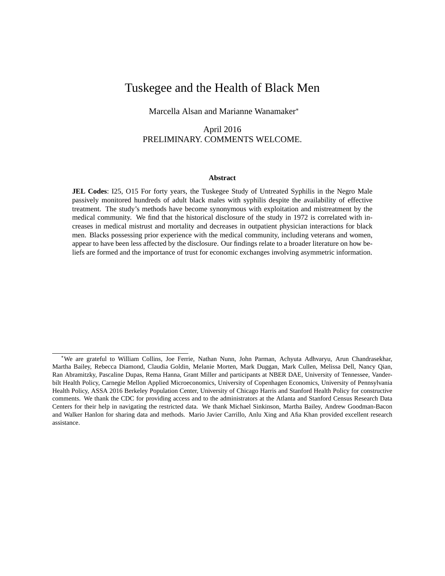# Tuskegee and the Health of Black Men

Marcella Alsan and Marianne Wanamaker

## April 2016 PRELIMINARY. COMMENTS WELCOME.

#### **Abstract**

**JEL Codes**: I25, O15 For forty years, the Tuskegee Study of Untreated Syphilis in the Negro Male passively monitored hundreds of adult black males with syphilis despite the availability of effective treatment. The study's methods have become synonymous with exploitation and mistreatment by the medical community. We find that the historical disclosure of the study in 1972 is correlated with increases in medical mistrust and mortality and decreases in outpatient physician interactions for black men. Blacks possessing prior experience with the medical community, including veterans and women, appear to have been less affected by the disclosure. Our findings relate to a broader literature on how beliefs are formed and the importance of trust for economic exchanges involving asymmetric information.

We are grateful to William Collins, Joe Ferrie, Nathan Nunn, John Parman, Achyuta Adhvaryu, Arun Chandrasekhar, Martha Bailey, Rebecca Diamond, Claudia Goldin, Melanie Morten, Mark Duggan, Mark Cullen, Melissa Dell, Nancy Qian, Ran Abramitzky, Pascaline Dupas, Rema Hanna, Grant Miller and participants at NBER DAE, University of Tennessee, Vanderbilt Health Policy, Carnegie Mellon Applied Microeconomics, University of Copenhagen Economics, University of Pennsylvania Health Policy, ASSA 2016 Berkeley Population Center, University of Chicago Harris and Stanford Health Policy for constructive comments. We thank the CDC for providing access and to the administrators at the Atlanta and Stanford Census Research Data Centers for their help in navigating the restricted data. We thank Michael Sinkinson, Martha Bailey, Andrew Goodman-Bacon and Walker Hanlon for sharing data and methods. Mario Javier Carrillo, Anlu Xing and Afia Khan provided excellent research assistance.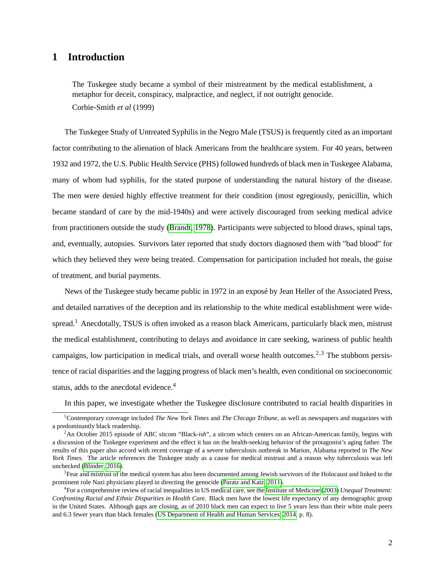# **1 Introduction**

The Tuskegee study became a symbol of their mistreatment by the medical establishment, a metaphor for deceit, conspiracy, malpractice, and neglect, if not outright genocide. Corbie-Smith *et al* (1999)

The Tuskegee Study of Untreated Syphilis in the Negro Male (TSUS) is frequently cited as an important factor contributing to the alienation of black Americans from the healthcare system. For 40 years, between 1932 and 1972, the U.S. Public Health Service (PHS) followed hundreds of black men in Tuskegee Alabama, many of whom had syphilis, for the stated purpose of understanding the natural history of the disease. The men were denied highly effective treatment for their condition (most egregiously, penicillin, which became standard of care by the mid-1940s) and were actively discouraged from seeking medical advice from practitioners outside the study [\(Brandt, 1978\)](#page-52-0). Participants were subjected to blood draws, spinal taps, and, eventually, autopsies. Survivors later reported that study doctors diagnosed them with "bad blood" for which they believed they were being treated. Compensation for participation included hot meals, the guise of treatment, and burial payments.

News of the Tuskegee study became public in 1972 in an exposé by Jean Heller of the Associated Press, and detailed narratives of the deception and its relationship to the white medical establishment were widespread.<sup>1</sup> Anecdotally, TSUS is often invoked as a reason black Americans, particularly black men, mistrust the medical establishment, contributing to delays and avoidance in care seeking, wariness of public health campaigns, low participation in medical trials, and overall worse health outcomes.<sup>2,3</sup> The stubborn persistence of racial disparities and the lagging progress of black men's health, even conditional on socioeconomic status, adds to the anecdotal evidence.<sup>4</sup>

In this paper, we investigate whether the Tuskegee disclosure contributed to racial health disparities in

<sup>1</sup>Contemporary coverage included *The New York Times* and *The Chicago Tribune*, as well as newspapers and magazines with a predominantly black readership.

<sup>&</sup>lt;sup>2</sup>An October 2015 episode of ABC sitcom "Black-*ish*", a sitcom which centers on an African-American family, begins with a discussion of the Tuskegee experiment and the effect it has on the health-seeking behavior of the protagonist's aging father. The results of this paper also accord with recent coverage of a severe tuberculosis outbreak in Marion, Alabama reported in *The New York Times.* The article references the Tuskegee study as a cause for medical mistrust and a reason why tuberculosis was left unchecked [\(Blinder, 2016\)](#page-52-1).

<sup>&</sup>lt;sup>3</sup> Fear and mistrust of the medical system has also been documented among Jewish survivors of the Holocaust and linked to the prominent role Nazi physicians played in directing the genocide [\(Paratz and Katz, 2011\)](#page-55-0).

<sup>4</sup> For a comprehensive review of racial inequalities in US medical care, see the [Institute of Medicine](#page-54-0) [\(2003\)](#page-54-0) *Unequal Treatment: Confronting Racial and Ethnic Disparities in Health Care.* Black men have the lowest life expectancy of any demographic group in the United States. Although gaps are closing, as of 2010 black men can expect to live 5 years less than their white male peers and 6.3 fewer years than black females [\(US Department of Health and Human Services, 2014,](#page-55-1) p. 8).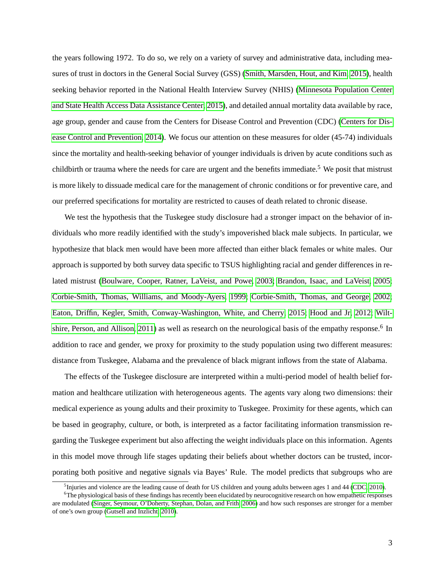the years following 1972. To do so, we rely on a variety of survey and administrative data, including measures of trust in doctors in the General Social Survey (GSS) [\(Smith, Marsden, Hout, and Kim, 2015\)](#page-55-2), health seeking behavior reported in the National Health Interview Survey (NHIS) [\(Minnesota Population Center](#page-54-1) [and State Health Access Data Assistance Center, 2015\)](#page-54-1), and detailed annual mortality data available by race, age group, gender and cause from the Centers for Disease Control and Prevention (CDC) [\(Centers for Dis](#page-53-0)[ease Control and Prevention, 2014\)](#page-53-0). We focus our attention on these measures for older (45-74) individuals since the mortality and health-seeking behavior of younger individuals is driven by acute conditions such as childbirth or trauma where the needs for care are urgent and the benefits immediate.<sup>5</sup> We posit that mistrust is more likely to dissuade medical care for the management of chronic conditions or for preventive care, and our preferred specifications for mortality are restricted to causes of death related to chronic disease.

We test the hypothesis that the Tuskegee study disclosure had a stronger impact on the behavior of individuals who more readily identified with the study's impoverished black male subjects. In particular, we hypothesize that black men would have been more affected than either black females or white males. Our approach is supported by both survey data specific to TSUS highlighting racial and gender differences in related mistrust [\(Boulware, Cooper, Ratner, LaVeist, and Powe, 2003;](#page-52-2) [Brandon, Isaac, and LaVeist, 2005;](#page-52-3) [Corbie-Smith, Thomas, Williams, and Moody-Ayers, 1999;](#page-53-1) [Corbie-Smith, Thomas, and George, 2002;](#page-53-2) [Eaton, Driffin, Kegler, Smith, Conway-Washington, White, and Cherry, 2015;](#page-53-3) [Hood and Jr, 2012;](#page-54-2) [Wilt](#page-55-3)[shire, Person, and Allison, 2011\)](#page-55-3) as well as research on the neurological basis of the empathy response.<sup>6</sup> In addition to race and gender, we proxy for proximity to the study population using two different measures: distance from Tuskegee, Alabama and the prevalence of black migrant inflows from the state of Alabama.

The effects of the Tuskegee disclosure are interpreted within a multi-period model of health belief formation and healthcare utilization with heterogeneous agents. The agents vary along two dimensions: their medical experience as young adults and their proximity to Tuskegee. Proximity for these agents, which can be based in geography, culture, or both, is interpreted as a factor facilitating information transmission regarding the Tuskegee experiment but also affecting the weight individuals place on this information. Agents in this model move through life stages updating their beliefs about whether doctors can be trusted, incorporating both positive and negative signals via Bayes' Rule. The model predicts that subgroups who are

 $<sup>5</sup>$  Injuries and violence are the leading cause of death for US children and young adults between ages 1 and 44 [\(CDC, 2010\)](#page-52-4).</sup>

<sup>&</sup>lt;sup>6</sup>The physiological basis of these findings has recently been elucidated by neurocognitive research on how empathetic responses are modulated [\(Singer, Seymour, O'Doherty, Stephan, Dolan, and Frith, 2006\)](#page-55-4) and how such responses are stronger for a member of one's own group [\(Gutsell and Inzlicht, 2010\)](#page-54-3).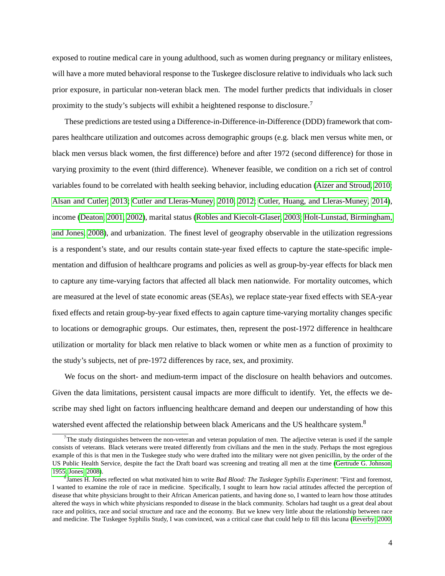exposed to routine medical care in young adulthood, such as women during pregnancy or military enlistees, will have a more muted behavioral response to the Tuskegee disclosure relative to individuals who lack such prior exposure, in particular non-veteran black men. The model further predicts that individuals in closer proximity to the study's subjects will exhibit a heightened response to disclosure.<sup>7</sup>

These predictions are tested using a Difference-in-Difference-in-Difference (DDD) framework that compares healthcare utilization and outcomes across demographic groups (e.g. black men versus white men, or black men versus black women, the first difference) before and after 1972 (second difference) for those in varying proximity to the event (third difference). Whenever feasible, we condition on a rich set of control variables found to be correlated with health seeking behavior, including education [\(Aizer and Stroud, 2010;](#page-51-0) [Alsan and Cutler, 2013;](#page-51-1) [Cutler and Lleras-Muney, 2010,](#page-53-4) [2012;](#page-53-5) [Cutler, Huang, and Lleras-Muney, 2014\)](#page-53-6), income [\(Deaton, 2001,](#page-53-7) [2002\)](#page-53-8), marital status [\(Robles and Kiecolt-Glaser, 2003;](#page-55-5) [Holt-Lunstad, Birmingham,](#page-54-4) [and Jones, 2008\)](#page-54-4), and urbanization. The finest level of geography observable in the utilization regressions is a respondent's state, and our results contain state-year fixed effects to capture the state-specific implementation and diffusion of healthcare programs and policies as well as group-by-year effects for black men to capture any time-varying factors that affected all black men nationwide. For mortality outcomes, which are measured at the level of state economic areas (SEAs), we replace state-year fixed effects with SEA-year fixed effects and retain group-by-year fixed effects to again capture time-varying mortality changes specific to locations or demographic groups. Our estimates, then, represent the post-1972 difference in healthcare utilization or mortality for black men relative to black women or white men as a function of proximity to the study's subjects, net of pre-1972 differences by race, sex, and proximity.

We focus on the short- and medium-term impact of the disclosure on health behaviors and outcomes. Given the data limitations, persistent causal impacts are more difficult to identify. Yet, the effects we describe may shed light on factors influencing healthcare demand and deepen our understanding of how this watershed event affected the relationship between black Americans and the US healthcare system.<sup>8</sup>

 $<sup>7</sup>$ The study distinguishes between the non-veteran and veteran population of men. The adjective veteran is used if the sample</sup> consists of veterans. Black veterans were treated differently from civilians and the men in the study. Perhaps the most egregious example of this is that men in the Tuskegee study who were drafted into the military were not given penicillin, by the order of the US Public Health Service, despite the fact the Draft board was screening and treating all men at the time [\(Gertrude G. Johnson,](#page-53-9) [1955;](#page-53-9) [Jones, 2008\)](#page-54-5).

<sup>8</sup> James H. Jones reflected on what motivated him to write *Bad Blood: The Tuskegee Syphilis Experiment*: "First and foremost, I wanted to examine the role of race in medicine. Specifically, I sought to learn how racial attitudes affected the perception of disease that white physicians brought to their African American patients, and having done so, I wanted to learn how those attitudes altered the ways in which white physicians responded to disease in the black community. Scholars had taught us a great deal about race and politics, race and social structure and race and the economy. But we knew very little about the relationship between race and medicine. The Tuskegee Syphilis Study, I was convinced, was a critical case that could help to fill this lacuna [\(Reverby, 2000,](#page-55-6)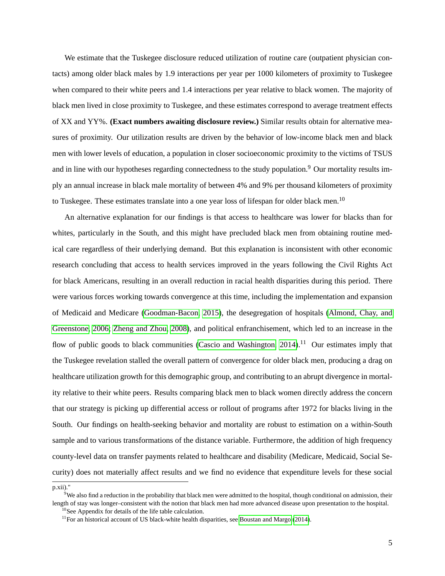We estimate that the Tuskegee disclosure reduced utilization of routine care (outpatient physician contacts) among older black males by 1.9 interactions per year per 1000 kilometers of proximity to Tuskegee when compared to their white peers and 1.4 interactions per year relative to black women. The majority of black men lived in close proximity to Tuskegee, and these estimates correspond to average treatment effects of XX and YY%. **(Exact numbers awaiting disclosure review.)** Similar results obtain for alternative measures of proximity. Our utilization results are driven by the behavior of low-income black men and black men with lower levels of education, a population in closer socioeconomic proximity to the victims of TSUS and in line with our hypotheses regarding connectedness to the study population.<sup>9</sup> Our mortality results imply an annual increase in black male mortality of between 4% and 9% per thousand kilometers of proximity to Tuskegee. These estimates translate into a one year loss of lifespan for older black men.<sup>10</sup>

An alternative explanation for our findings is that access to healthcare was lower for blacks than for whites, particularly in the South, and this might have precluded black men from obtaining routine medical care regardless of their underlying demand. But this explanation is inconsistent with other economic research concluding that access to health services improved in the years following the Civil Rights Act for black Americans, resulting in an overall reduction in racial health disparities during this period. There were various forces working towards convergence at this time, including the implementation and expansion of Medicaid and Medicare [\(Goodman-Bacon, 2015\)](#page-54-6), the desegregation of hospitals [\(Almond, Chay, and](#page-51-2) [Greenstone, 2006;](#page-51-2) [Zheng and Zhou, 2008\)](#page-55-7), and political enfranchisement, which led to an increase in the flow of public goods to black communities (Cascio and Washington,  $2014$ ).<sup>11</sup> Our estimates imply that the Tuskegee revelation stalled the overall pattern of convergence for older black men, producing a drag on healthcare utilization growth for this demographic group, and contributing to an abrupt divergence in mortality relative to their white peers. Results comparing black men to black women directly address the concern that our strategy is picking up differential access or rollout of programs after 1972 for blacks living in the South. Our findings on health-seeking behavior and mortality are robust to estimation on a within-South sample and to various transformations of the distance variable. Furthermore, the addition of high frequency county-level data on transfer payments related to healthcare and disability (Medicare, Medicaid, Social Security) does not materially affect results and we find no evidence that expenditure levels for these social

p.xii)."

 $9$ We also find a reduction in the probability that black men were admitted to the hospital, though conditional on admission, their length of stay was longer–consistent with the notion that black men had more advanced disease upon presentation to the hospital. <sup>10</sup>See Appendix for details of the life table calculation.

 $11$  For an historical account of US black-white health disparities, see [Boustan and Margo](#page-52-6) [\(2014\)](#page-52-6).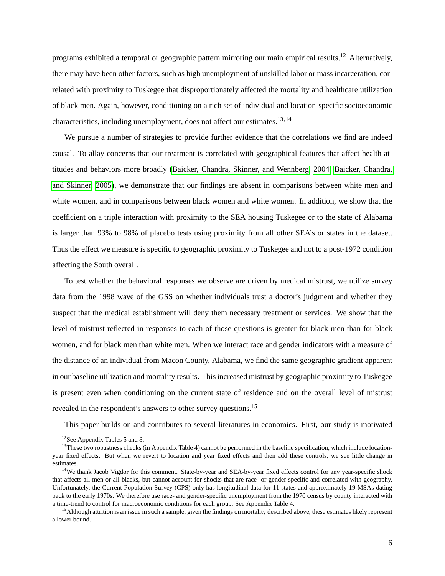programs exhibited a temporal or geographic pattern mirroring our main empirical results.<sup>12</sup> Alternatively, there may have been other factors, such as high unemployment of unskilled labor or mass incarceration, correlated with proximity to Tuskegee that disproportionately affected the mortality and healthcare utilization of black men. Again, however, conditioning on a rich set of individual and location-specific socioeconomic characteristics, including unemployment, does not affect our estimates.<sup>13,14</sup>

We pursue a number of strategies to provide further evidence that the correlations we find are indeed causal. To allay concerns that our treatment is correlated with geographical features that affect health attitudes and behaviors more broadly [\(Baicker, Chandra, Skinner, and Wennberg, 2004;](#page-52-7) [Baicker, Chandra,](#page-52-8) [and Skinner, 2005\)](#page-52-8), we demonstrate that our findings are absent in comparisons between white men and white women, and in comparisons between black women and white women. In addition, we show that the coefficient on a triple interaction with proximity to the SEA housing Tuskegee or to the state of Alabama is larger than 93% to 98% of placebo tests using proximity from all other SEA's or states in the dataset. Thus the effect we measure is specific to geographic proximity to Tuskegee and not to a post-1972 condition affecting the South overall.

To test whether the behavioral responses we observe are driven by medical mistrust, we utilize survey data from the 1998 wave of the GSS on whether individuals trust a doctor's judgment and whether they suspect that the medical establishment will deny them necessary treatment or services. We show that the level of mistrust reflected in responses to each of those questions is greater for black men than for black women, and for black men than white men. When we interact race and gender indicators with a measure of the distance of an individual from Macon County, Alabama, we find the same geographic gradient apparent in our baseline utilization and mortality results. This increased mistrust by geographic proximity to Tuskegee is present even when conditioning on the current state of residence and on the overall level of mistrust revealed in the respondent's answers to other survey questions.<sup>15</sup>

This paper builds on and contributes to several literatures in economics. First, our study is motivated

<sup>12</sup>See Appendix Tables 5 and 8.

 $13$ These two robustness checks (in Appendix Table 4) cannot be performed in the baseline specification, which include locationyear fixed effects. But when we revert to location and year fixed effects and then add these controls, we see little change in estimates.

<sup>&</sup>lt;sup>14</sup>We thank Jacob Vigdor for this comment. State-by-year and SEA-by-year fixed effects control for any year-specific shock that affects all men or all blacks, but cannot account for shocks that are race- or gender-specific and correlated with geography. Unfortunately, the Current Population Survey (CPS) only has longitudinal data for 11 states and approximately 19 MSAs dating back to the early 1970s. We therefore use race- and gender-specific unemployment from the 1970 census by county interacted with a time-trend to control for macroeconomic conditions for each group. See Appendix Table 4.

<sup>&</sup>lt;sup>15</sup> Although attrition is an issue in such a sample, given the findings on mortality described above, these estimates likely represent a lower bound.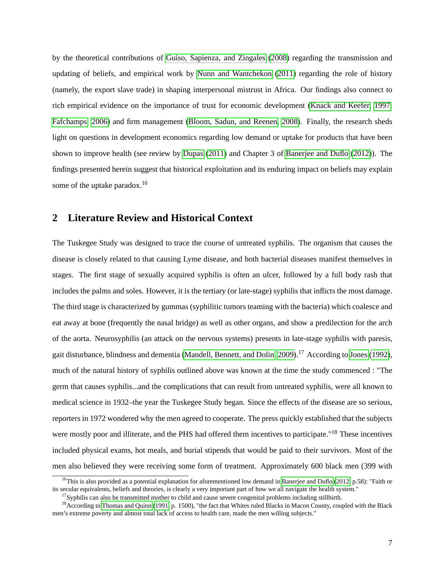by the theoretical contributions of [Guiso, Sapienza, and Zingales](#page-54-7) [\(2008\)](#page-54-7) regarding the transmission and updating of beliefs, and empirical work by [Nunn and Wantchekon](#page-55-8) [\(2011\)](#page-55-8) regarding the role of history (namely, the export slave trade) in shaping interpersonal mistrust in Africa. Our findings also connect to rich empirical evidence on the importance of trust for economic development [\(Knack and Keefer, 1997;](#page-54-8) [Fafchamps, 2006\)](#page-53-10) and firm management [\(Bloom, Sadun, and Reenen, 2008\)](#page-52-9). Finally, the research sheds light on questions in development economics regarding low demand or uptake for products that have been shown to improve health (see review by [Dupas](#page-53-11) [\(2011\)](#page-53-11) and Chapter 3 of [Banerjee and Duflo](#page-52-10) [\(2012\)](#page-52-10)). The findings presented herein suggest that historical exploitation and its enduring impact on beliefs may explain some of the uptake paradox.<sup>16</sup>

# **2 Literature Review and Historical Context**

The Tuskegee Study was designed to trace the course of untreated syphilis. The organism that causes the disease is closely related to that causing Lyme disease, and both bacterial diseases manifest themselves in stages. The first stage of sexually acquired syphilis is often an ulcer, followed by a full body rash that includes the palms and soles. However, it is the tertiary (or late-stage) syphilis that inflicts the most damage. The third stage is characterized by gummas (syphilitic tumors teaming with the bacteria) which coalesce and eat away at bone (frequently the nasal bridge) as well as other organs, and show a predilection for the arch of the aorta. Neurosyphilis (an attack on the nervous systems) presents in late-stage syphilis with paresis, gait disturbance, blindness and dementia [\(Mandell, Bennett, and Dolin, 2009\)](#page-54-9).<sup>17</sup> According to [Jones](#page-54-10) [\(1992\)](#page-54-10), much of the natural history of syphilis outlined above was known at the time the study commenced : "The germ that causes syphilis...and the complications that can result from untreated syphilis, were all known to medical science in 1932–the year the Tuskegee Study began. Since the effects of the disease are so serious, reporters in 1972 wondered why the men agreed to cooperate. The press quickly established that the subjects were mostly poor and illiterate, and the PHS had offered them incentives to participate."<sup>18</sup> These incentives included physical exams, hot meals, and burial stipends that would be paid to their survivors. Most of the men also believed they were receiving some form of treatment. Approximately 600 black men (399 with

<sup>&</sup>lt;sup>16</sup>This is also provided as a potential explanation for aforementioned low demand in [Banerjee and Duflo](#page-52-10) [\(2012,](#page-52-10) p.58): "Faith or its secular equivalents, beliefs and theories, is clearly a very important part of how we all navigate the health system."

 $17$ Syphilis can also be transmitted mother to child and cause severe congenital problems including stillbirth.

 $18$  According to [Thomas and Quinn](#page-55-9) [\(1991,](#page-55-9) p. 1500), "the fact that Whites ruled Blacks in Macon County, coupled with the Black men's extreme poverty and almost total lack of access to health care, made the men willing subjects."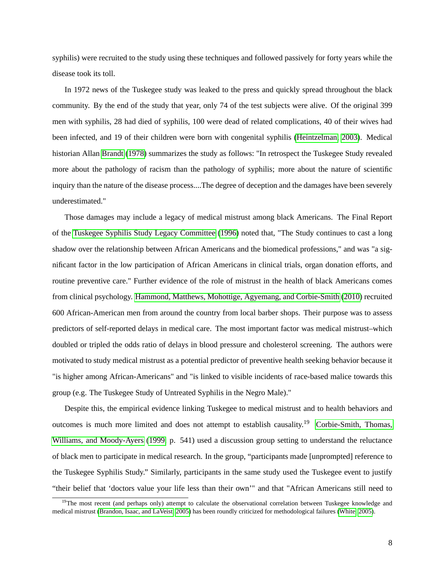syphilis) were recruited to the study using these techniques and followed passively for forty years while the disease took its toll.

In 1972 news of the Tuskegee study was leaked to the press and quickly spread throughout the black community. By the end of the study that year, only 74 of the test subjects were alive. Of the original 399 men with syphilis, 28 had died of syphilis, 100 were dead of related complications, 40 of their wives had been infected, and 19 of their children were born with congenital syphilis [\(Heintzelman, 2003\)](#page-54-11). Medical historian Allan [Brandt](#page-52-0) [\(1978\)](#page-52-0) summarizes the study as follows: "In retrospect the Tuskegee Study revealed more about the pathology of racism than the pathology of syphilis; more about the nature of scientific inquiry than the nature of the disease process....The degree of deception and the damages have been severely underestimated."

Those damages may include a legacy of medical mistrust among black Americans. The Final Report of the [Tuskegee Syphilis Study Legacy Committee](#page-55-10) [\(1996\)](#page-55-10) noted that, "The Study continues to cast a long shadow over the relationship between African Americans and the biomedical professions," and was "a significant factor in the low participation of African Americans in clinical trials, organ donation efforts, and routine preventive care." Further evidence of the role of mistrust in the health of black Americans comes from clinical psychology. [Hammond, Matthews, Mohottige, Agyemang, and Corbie-Smith](#page-54-12) [\(2010\)](#page-54-12) recruited 600 African-American men from around the country from local barber shops. Their purpose was to assess predictors of self-reported delays in medical care. The most important factor was medical mistrust–which doubled or tripled the odds ratio of delays in blood pressure and cholesterol screening. The authors were motivated to study medical mistrust as a potential predictor of preventive health seeking behavior because it "is higher among African-Americans" and "is linked to visible incidents of race-based malice towards this group (e.g. The Tuskegee Study of Untreated Syphilis in the Negro Male)."

Despite this, the empirical evidence linking Tuskegee to medical mistrust and to health behaviors and outcomes is much more limited and does not attempt to establish causality.<sup>19</sup> [Corbie-Smith, Thomas,](#page-53-1) [Williams, and Moody-Ayers](#page-53-1) [\(1999,](#page-53-1) p. 541) used a discussion group setting to understand the reluctance of black men to participate in medical research. In the group, "participants made [unprompted] reference to the Tuskegee Syphilis Study." Similarly, participants in the same study used the Tuskegee event to justify "their belief that 'doctors value your life less than their own'" and that "African Americans still need to

<sup>&</sup>lt;sup>19</sup>The most recent (and perhaps only) attempt to calculate the observational correlation between Tuskegee knowledge and medical mistrust [\(Brandon, Isaac, and LaVeist, 2005\)](#page-52-3) has been roundly criticized for methodological failures [\(White, 2005\)](#page-55-11).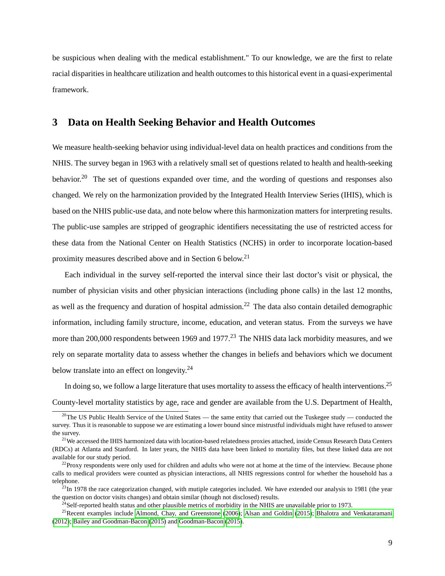be suspicious when dealing with the medical establishment." To our knowledge, we are the first to relate racial disparities in healthcare utilization and health outcomes to this historical event in a quasi-experimental framework.

## **3 Data on Health Seeking Behavior and Health Outcomes**

We measure health-seeking behavior using individual-level data on health practices and conditions from the NHIS. The survey began in 1963 with a relatively small set of questions related to health and health-seeking behavior.<sup>20</sup> The set of questions expanded over time, and the wording of questions and responses also changed. We rely on the harmonization provided by the Integrated Health Interview Series (IHIS), which is based on the NHIS public-use data, and note below where this harmonization matters for interpreting results. The public-use samples are stripped of geographic identifiers necessitating the use of restricted access for these data from the National Center on Health Statistics (NCHS) in order to incorporate location-based proximity measures described above and in Section 6 below.<sup>21</sup>

Each individual in the survey self-reported the interval since their last doctor's visit or physical, the number of physician visits and other physician interactions (including phone calls) in the last 12 months, as well as the frequency and duration of hospital admission.<sup>22</sup> The data also contain detailed demographic information, including family structure, income, education, and veteran status. From the surveys we have more than 200,000 respondents between 1969 and 1977.<sup>23</sup> The NHIS data lack morbidity measures, and we rely on separate mortality data to assess whether the changes in beliefs and behaviors which we document below translate into an effect on longevity.<sup>24</sup>

In doing so, we follow a large literature that uses mortality to assess the efficacy of health interventions.<sup>25</sup> County-level mortality statistics by age, race and gender are available from the U.S. Department of Health,

<sup>&</sup>lt;sup>20</sup>The US Public Health Service of the United States — the same entity that carried out the Tuskegee study — conducted the survey. Thus it is reasonable to suppose we are estimating a lower bound since mistrustful individuals might have refused to answer the survey.

<sup>&</sup>lt;sup>21</sup>We accessed the IHIS harmonized data with location-based relatedness proxies attached, inside Census Research Data Centers (RDCs) at Atlanta and Stanford. In later years, the NHIS data have been linked to mortality files, but these linked data are not available for our study period.

 $^{22}$ Proxy respondents were only used for children and adults who were not at home at the time of the interview. Because phone calls to medical providers were counted as physician interactions, all NHIS regressions control for whether the household has a telephone.

 $^{23}$ In 1978 the race categorization changed, with mutiple categories included. We have extended our analysis to 1981 (the year the question on doctor visits changes) and obtain similar (though not disclosed) results.

<sup>&</sup>lt;sup>24</sup>Self-reported health status and other plausible metrics of morbidity in the NHIS are unavailable prior to 1973.

 $^{25}$ Recent examples include [Almond, Chay, and Greenstone](#page-51-2) [\(2006\)](#page-51-2); [Alsan and Goldin](#page-51-3) [\(2015\)](#page-51-3); [Bhalotra and Venkataramani](#page-52-11) [\(2012\)](#page-52-11); [Bailey and Goodman-Bacon](#page-52-12) [\(2015\)](#page-52-12) and [Goodman-Bacon](#page-54-6) [\(2015\)](#page-54-6).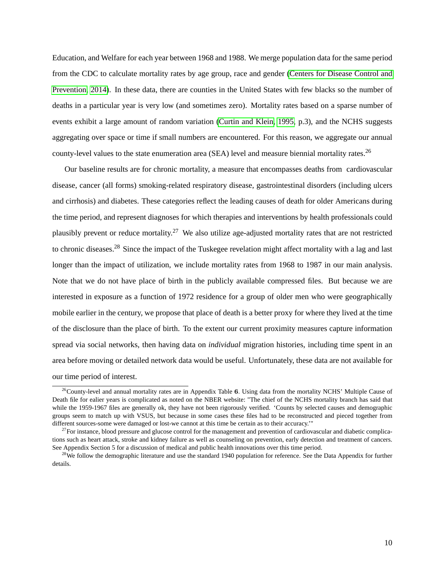Education, and Welfare for each year between 1968 and 1988. We merge population data for the same period from the CDC to calculate mortality rates by age group, race and gender [\(Centers for Disease Control and](#page-53-0) [Prevention, 2014\)](#page-53-0). In these data, there are counties in the United States with few blacks so the number of deaths in a particular year is very low (and sometimes zero). Mortality rates based on a sparse number of events exhibit a large amount of random variation [\(Curtin and Klein, 1995,](#page-53-12) p.3), and the NCHS suggests aggregating over space or time if small numbers are encountered. For this reason, we aggregate our annual county-level values to the state enumeration area (SEA) level and measure biennial mortality rates.<sup>26</sup>

Our baseline results are for chronic mortality, a measure that encompasses deaths from cardiovascular disease, cancer (all forms) smoking-related respiratory disease, gastrointestinal disorders (including ulcers and cirrhosis) and diabetes. These categories reflect the leading causes of death for older Americans during the time period, and represent diagnoses for which therapies and interventions by health professionals could plausibly prevent or reduce mortality.<sup>27</sup> We also utilize age-adjusted mortality rates that are not restricted to chronic diseases.<sup>28</sup> Since the impact of the Tuskegee revelation might affect mortality with a lag and last longer than the impact of utilization, we include mortality rates from 1968 to 1987 in our main analysis. Note that we do not have place of birth in the publicly available compressed files. But because we are interested in exposure as a function of 1972 residence for a group of older men who were geographically mobile earlier in the century, we propose that place of death is a better proxy for where they lived at the time of the disclosure than the place of birth. To the extent our current proximity measures capture information spread via social networks, then having data on *individual* migration histories, including time spent in an area before moving or detailed network data would be useful. Unfortunately, these data are not available for our time period of interest.

 $26$ County-level and annual mortality rates are in Appendix Table 6. Using data from the mortality NCHS' Multiple Cause of Death file for ealier years is complicated as noted on the NBER website: "The chief of the NCHS mortality branch has said that while the 1959-1967 files are generally ok, they have not been rigorously verified. 'Counts by selected causes and demographic groups seem to match up with VSUS, but because in some cases these files had to be reconstructed and pieced together from different sources-some were damaged or lost-we cannot at this time be certain as to their accuracy.'"

 $^{27}$ For instance, blood pressure and glucose control for the management and prevention of cardiovascular and diabetic complications such as heart attack, stroke and kidney failure as well as counseling on prevention, early detection and treatment of cancers. See Appendix Section 5 for a discussion of medical and public health innovations over this time period.

 $28$ We follow the demographic literature and use the standard 1940 population for reference. See the Data Appendix for further details.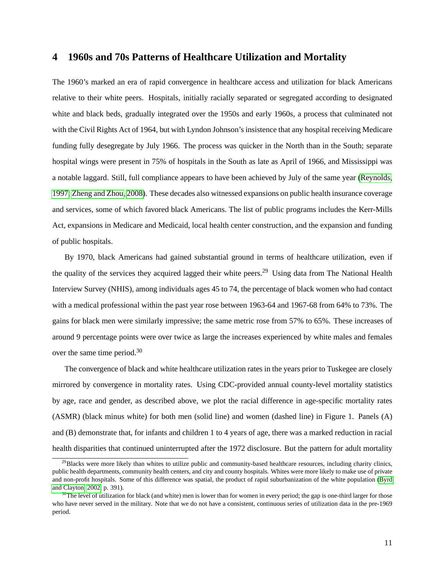# **4 1960s and 70s Patterns of Healthcare Utilization and Mortality**

The 1960's marked an era of rapid convergence in healthcare access and utilization for black Americans relative to their white peers. Hospitals, initially racially separated or segregated according to designated white and black beds, gradually integrated over the 1950s and early 1960s, a process that culminated not with the Civil Rights Act of 1964, but with Lyndon Johnson's insistence that any hospital receiving Medicare funding fully desegregate by July 1966. The process was quicker in the North than in the South; separate hospital wings were present in 75% of hospitals in the South as late as April of 1966, and Mississippi was a notable laggard. Still, full compliance appears to have been achieved by July of the same year [\(Reynolds,](#page-55-12) [1997;](#page-55-12) [Zheng and Zhou, 2008\)](#page-55-7). These decades also witnessed expansions on public health insurance coverage and services, some of which favored black Americans. The list of public programs includes the Kerr-Mills Act, expansions in Medicare and Medicaid, local health center construction, and the expansion and funding of public hospitals.

By 1970, black Americans had gained substantial ground in terms of healthcare utilization, even if the quality of the services they acquired lagged their white peers.<sup>29</sup> Using data from The National Health Interview Survey (NHIS), among individuals ages 45 to 74, the percentage of black women who had contact with a medical professional within the past year rose between 1963-64 and 1967-68 from 64% to 73%. The gains for black men were similarly impressive; the same metric rose from 57% to 65%. These increases of around 9 percentage points were over twice as large the increases experienced by white males and females over the same time period.<sup>30</sup>

The convergence of black and white healthcare utilization rates in the years prior to Tuskegee are closely mirrored by convergence in mortality rates. Using CDC-provided annual county-level mortality statistics by age, race and gender, as described above, we plot the racial difference in age-specific mortality rates (ASMR) (black minus white) for both men (solid line) and women (dashed line) in Figure 1. Panels (A) and (B) demonstrate that, for infants and children 1 to 4 years of age, there was a marked reduction in racial health disparities that continued uninterrupted after the 1972 disclosure. But the pattern for adult mortality

<sup>&</sup>lt;sup>29</sup>Blacks were more likely than whites to utilize public and community-based healthcare resources, including charity clinics, public health departments, community health centers, and city and county hospitals. Whites were more likely to make use of private and non-profit hospitals. Some of this difference was spatial, the product of rapid suburbanization of the white population [\(Byrd](#page-52-13) [and Clayton, 2002,](#page-52-13) p. 391).

 $30$ The level of utilization for black (and white) men is lower than for women in every period; the gap is one-third larger for those who have never served in the military. Note that we do not have a consistent, continuous series of utilization data in the pre-1969 period.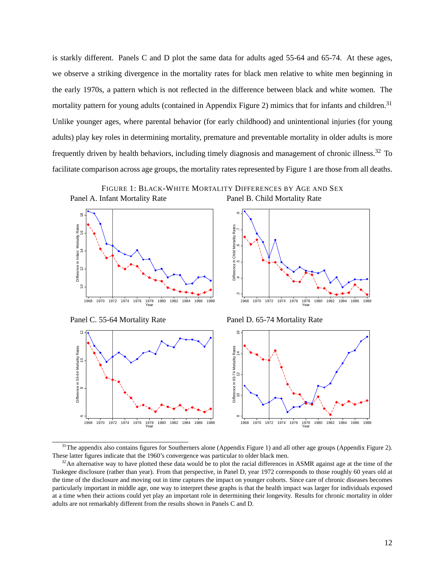is starkly different. Panels C and D plot the same data for adults aged 55-64 and 65-74. At these ages, we observe a striking divergence in the mortality rates for black men relative to white men beginning in the early 1970s, a pattern which is not reflected in the difference between black and white women. The mortality pattern for young adults (contained in Appendix Figure 2) mimics that for infants and children.<sup>31</sup> Unlike younger ages, where parental behavior (for early childhood) and unintentional injuries (for young adults) play key roles in determining mortality, premature and preventable mortality in older adults is more frequently driven by health behaviors, including timely diagnosis and management of chronic illness.<sup>32</sup> To facilitate comparison across age groups, the mortality rates represented by Figure 1 are those from all deaths.





Panel C. 55-64 Mortality Rate Panel D. 65-74 Mortality Rate





 $31$ The appendix also contains figures for Southerners alone (Appendix Figure 1) and all other age groups (Appendix Figure 2). These latter figures indicate that the 1960's convergence was particular to older black men.

<sup>&</sup>lt;sup>32</sup>An alternative way to have plotted these data would be to plot the racial differences in ASMR against age at the time of the Tuskegee disclosure (rather than year). From that perspective, in Panel D, year 1972 corresponds to those roughly 60 years old at the time of the disclosure and moving out in time captures the impact on younger cohorts. Since care of chronic diseases becomes particularly important in middle age, one way to interpret these graphs is that the health impact was larger for individuals exposed at a time when their actions could yet play an important role in determining their longevity. Results for chronic mortality in older adults are not remarkably different from the results shown in Panels C and D.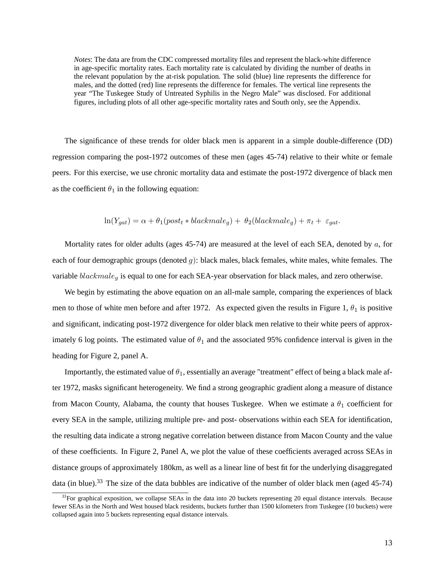*Notes*: The data are from the CDC compressed mortality files and represent the black-white difference in age-specific mortality rates. Each mortality rate is calculated by dividing the number of deaths in the relevant population by the at-risk population. The solid (blue) line represents the difference for males, and the dotted (red) line represents the difference for females. The vertical line represents the year "The Tuskegee Study of Untreated Syphilis in the Negro Male" was disclosed. For additional figures, including plots of all other age-specific mortality rates and South only, see the Appendix.

The significance of these trends for older black men is apparent in a simple double-difference (DD) regression comparing the post-1972 outcomes of these men (ages 45-74) relative to their white or female peers. For this exercise, we use chronic mortality data and estimate the post-1972 divergence of black men as the coefficient  $\theta_1$  in the following equation:

$$
\ln(Y_{gat}) = \alpha + \theta_1(post_t * blackmale_g) + \theta_2(blackmale_g) + \pi_t + \varepsilon_{gat}
$$

Mortality rates for older adults (ages 45-74) are measured at the level of each SEA, denoted by a, for each of four demographic groups (denoted  $g$ ): black males, black females, white males, white females. The variable  $blackmale<sub>g</sub>$  is equal to one for each SEA-year observation for black males, and zero otherwise.

We begin by estimating the above equation on an all-male sample, comparing the experiences of black men to those of white men before and after 1972. As expected given the results in Figure 1,  $\theta_1$  is positive and significant, indicating post-1972 divergence for older black men relative to their white peers of approximately 6 log points. The estimated value of  $\theta_1$  and the associated 95% confidence interval is given in the heading for Figure 2, panel A.

Importantly, the estimated value of  $\theta_1$ , essentially an average "treatment" effect of being a black male after 1972, masks significant heterogeneity. We find a strong geographic gradient along a measure of distance from Macon County, Alabama, the county that houses Tuskegee. When we estimate a  $\theta_1$  coefficient for every SEA in the sample, utilizing multiple pre- and post- observations within each SEA for identification, the resulting data indicate a strong negative correlation between distance from Macon County and the value of these coefficients. In Figure 2, Panel A, we plot the value of these coefficients averaged across SEAs in distance groups of approximately 180km, as well as a linear line of best fit for the underlying disaggregated data (in blue).<sup>33</sup> The size of the data bubbles are indicative of the number of older black men (aged  $45-74$ )

 $33$ For graphical exposition, we collapse SEAs in the data into 20 buckets representing 20 equal distance intervals. Because fewer SEAs in the North and West housed black residents, buckets further than 1500 kilometers from Tuskegee (10 buckets) were collapsed again into 5 buckets representing equal distance intervals.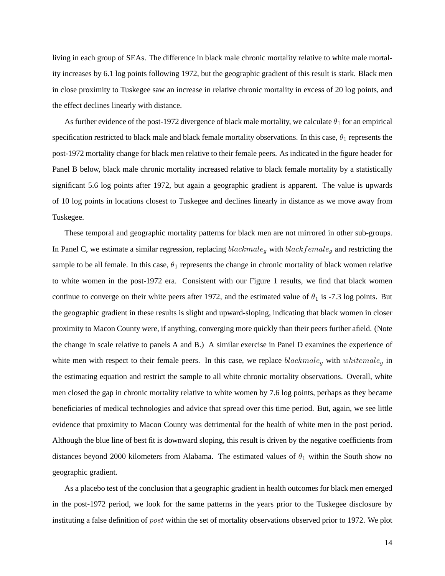living in each group of SEAs. The difference in black male chronic mortality relative to white male mortality increases by 6.1 log points following 1972, but the geographic gradient of this result is stark. Black men in close proximity to Tuskegee saw an increase in relative chronic mortality in excess of 20 log points, and the effect declines linearly with distance.

As further evidence of the post-1972 divergence of black male mortality, we calculate  $\theta_1$  for an empirical specification restricted to black male and black female mortality observations. In this case,  $\theta_1$  represents the post-1972 mortality change for black men relative to their female peers. As indicated in the figure header for Panel B below, black male chronic mortality increased relative to black female mortality by a statistically significant 5.6 log points after 1972, but again a geographic gradient is apparent. The value is upwards of 10 log points in locations closest to Tuskegee and declines linearly in distance as we move away from Tuskegee.

These temporal and geographic mortality patterns for black men are not mirrored in other sub-groups. In Panel C, we estimate a similar regression, replacing  $blackmale_g$  with  $blackfemale_g$  and restricting the sample to be all female. In this case,  $\theta_1$  represents the change in chronic mortality of black women relative to white women in the post-1972 era. Consistent with our Figure 1 results, we find that black women continue to converge on their white peers after 1972, and the estimated value of  $\theta_1$  is -7.3 log points. But the geographic gradient in these results is slight and upward-sloping, indicating that black women in closer proximity to Macon County were, if anything, converging more quickly than their peers further afield. (Note the change in scale relative to panels A and B.) A similar exercise in Panel D examines the experience of white men with respect to their female peers. In this case, we replace  $blackmale_q$  with  $whitemale_q$  in the estimating equation and restrict the sample to all white chronic mortality observations. Overall, white men closed the gap in chronic mortality relative to white women by 7.6 log points, perhaps as they became beneficiaries of medical technologies and advice that spread over this time period. But, again, we see little evidence that proximity to Macon County was detrimental for the health of white men in the post period. Although the blue line of best fit is downward sloping, this result is driven by the negative coefficients from distances beyond 2000 kilometers from Alabama. The estimated values of  $\theta_1$  within the South show no geographic gradient.

As a placebo test of the conclusion that a geographic gradient in health outcomes for black men emerged in the post-1972 period, we look for the same patterns in the years prior to the Tuskegee disclosure by instituting a false definition of post within the set of mortality observations observed prior to 1972. We plot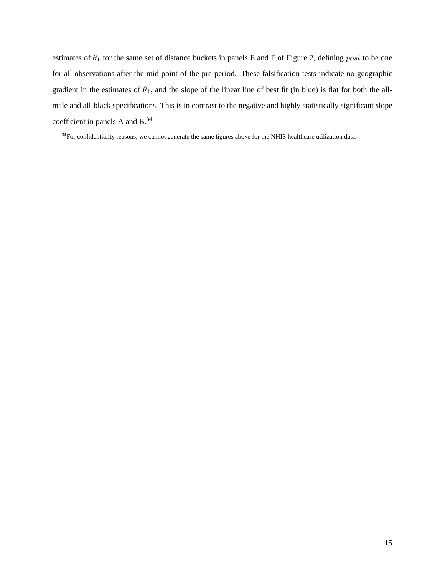estimates of  $\theta_1$  for the same set of distance buckets in panels E and F of Figure 2, defining post to be one for all observations after the mid-point of the pre period. These falsification tests indicate no geographic gradient in the estimates of  $\theta_1$ , and the slope of the linear line of best fit (in blue) is flat for both the allmale and all-black specifications. This is in contrast to the negative and highly statistically significant slope coefficient in panels A and B.<sup>34</sup>

<sup>&</sup>lt;sup>34</sup>For confidentiality reasons, we cannot generate the same figures above for the NHIS healthcare utilization data.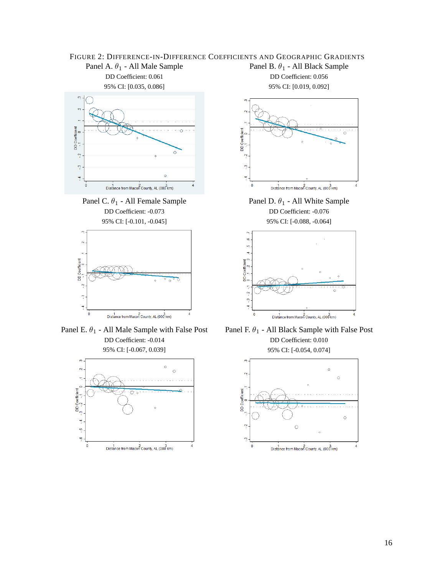## FIGURE 2: DIFFERENCE-IN-DIFFERENCE COEFFICIENTS AND GEOGRAPHIC GRADIENTS Panel A.  $\theta_1$  - All Male Sample Panel B.  $\theta_1$  - All Black Sample DD Coefficient: 0.061 DD Coefficient: 0.056



DD Coefficient: -0.073 DD Coefficient: -0.076



Panel E.  $\theta_1$  - All Male Sample with False Post DD Coefficient: -0.014 95% CI: [-0.067, 0.039]





Panel C.  $\theta_1$  - All Female Sample Panel D.  $\theta_1$  - All White Sample 95% CI: [-0.101, -0.045] 95% CI: [-0.088, -0.064]





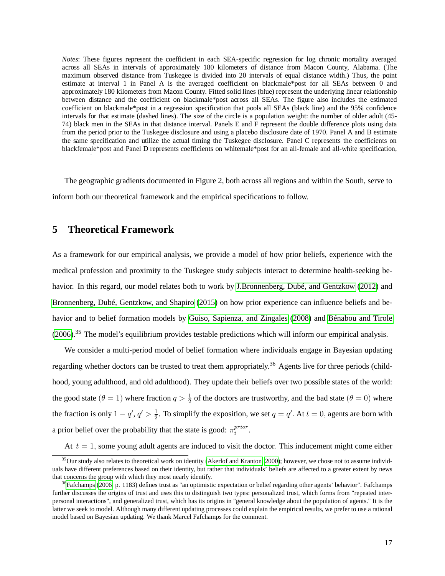*Notes*: These figures represent the coefficient in each SEA-specific regression for log chronic mortality averaged across all SEAs in intervals of approximately 180 kilometers of distance from Macon County, Alabama. (The maximum observed distance from Tuskegee is divided into 20 intervals of equal distance width.) Thus, the point estimate at interval 1 in Panel A is the averaged coefficient on blackmale\*post for all SEAs between 0 and approximately 180 kilometers from Macon County. Fitted solid lines (blue) represent the underlying linear relationship between distance and the coefficient on blackmale\*post across all SEAs. The figure also includes the estimated coefficient on blackmale\*post in a regression specification that pools all SEAs (black line) and the 95% confidence intervals for that estimate (dashed lines). The size of the circle is a population weight: the number of older adult (45- 74) black men in the SEAs in that distance interval. Panels E and F represent the double difference plots using data from the period prior to the Tuskegee disclosure and using a placebo disclosure date of 1970. Panel A and B estimate the same specification and utilize the actual timing the Tuskegee disclosure. Panel C represents the coefficients on blackfemale\*post and Panel D represents coefficients on whitemale\*post for an all-female and all-white specification,

The geographic gradients documented in Figure 2, both across all regions and within the South, serve to inform both our theoretical framework and the empirical specifications to follow.

# **5 Theoretical Framework**

As a framework for our empirical analysis, we provide a model of how prior beliefs, experience with the medical profession and proximity to the Tuskegee study subjects interact to determine health-seeking behavior. In this regard, our model relates both to work by [J.Bronnenberg, Dubé, and Gentzkow](#page-54-13) [\(2012\)](#page-54-13) and [Bronnenberg, Dubé, Gentzkow, and Shapiro](#page-52-14) [\(2015\)](#page-52-14) on how prior experience can influence beliefs and behavior and to belief formation models by [Guiso, Sapienza, and Zingales](#page-54-7) [\(2008\)](#page-54-7) and [Bénabou and Tirole](#page-52-15) [\(2006\)](#page-52-15).<sup>35</sup> The model's equilibrium provides testable predictions which will inform our empirical analysis.

We consider a multi-period model of belief formation where individuals engage in Bayesian updating regarding whether doctors can be trusted to treat them appropriately.<sup>36</sup> Agents live for three periods (childhood, young adulthood, and old adulthood). They update their beliefs over two possible states of the world: the good state  $(\theta = 1)$  where fraction  $q > \frac{1}{2}$  of the doctors are trustworthy, and the bad state  $(\theta = 0)$  where the fraction is only  $1 - q'$ ,  $q' > \frac{1}{2}$  $\frac{1}{2}$ . To simplify the exposition, we set  $q = q'$ . At  $t = 0$ , agents are born with a prior belief over the probability that the state is good:  $\pi_i^{prior}$ i .

At  $t = 1$ , some young adult agents are induced to visit the doctor. This inducement might come either

 $35$ Our study also relates to theoretical work on identity [\(Akerlof and Kranton, 2000\)](#page-51-4); however, we chose not to assume individuals have different preferences based on their identity, but rather that individuals' beliefs are affected to a greater extent by news that concerns the group with which they most nearly identify.

<sup>&</sup>lt;sup>36</sup>[Fafchamps](#page-53-10) [\(2006,](#page-53-10) p. 1183) defines trust as "an optimistic expectation or belief regarding other agents' behavior". Fafchamps further discusses the origins of trust and uses this to distinguish two types: personalized trust, which forms from "repeated interpersonal interactions", and generalized trust, which has its origins in "general knowledge about the population of agents." It is the latter we seek to model. Although many different updating processes could explain the empirical results, we prefer to use a rational model based on Bayesian updating. We thank Marcel Fafchamps for the comment.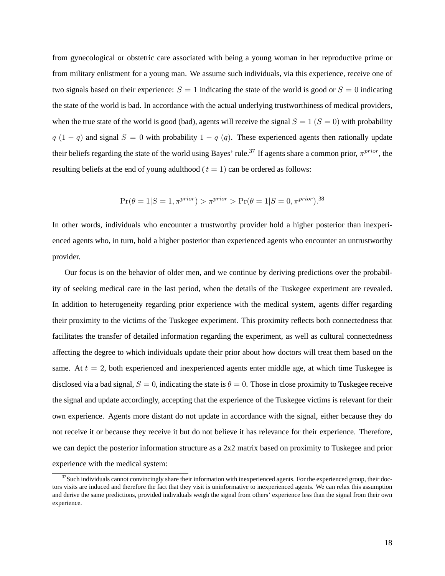from gynecological or obstetric care associated with being a young woman in her reproductive prime or from military enlistment for a young man. We assume such individuals, via this experience, receive one of two signals based on their experience:  $S = 1$  indicating the state of the world is good or  $S = 0$  indicating the state of the world is bad. In accordance with the actual underlying trustworthiness of medical providers, when the true state of the world is good (bad), agents will receive the signal  $S = 1$  ( $S = 0$ ) with probability  $q(1 - q)$  and signal  $S = 0$  with probability  $1 - q(q)$ . These experienced agents then rationally update their beliefs regarding the state of the world using Bayes' rule.<sup>37</sup> If agents share a common prior,  $\pi^{prior}$ , the resulting beliefs at the end of young adulthood ( $t = 1$ ) can be ordered as follows:

$$
\Pr(\theta = 1 | S = 1, \pi^{prior}) > \pi^{prior} > \Pr(\theta = 1 | S = 0, \pi^{prior}).^{38}
$$

In other words, individuals who encounter a trustworthy provider hold a higher posterior than inexperienced agents who, in turn, hold a higher posterior than experienced agents who encounter an untrustworthy provider.

Our focus is on the behavior of older men, and we continue by deriving predictions over the probability of seeking medical care in the last period, when the details of the Tuskegee experiment are revealed. In addition to heterogeneity regarding prior experience with the medical system, agents differ regarding their proximity to the victims of the Tuskegee experiment. This proximity reflects both connectedness that facilitates the transfer of detailed information regarding the experiment, as well as cultural connectedness affecting the degree to which individuals update their prior about how doctors will treat them based on the same. At  $t = 2$ , both experienced and inexperienced agents enter middle age, at which time Tuskegee is disclosed via a bad signal,  $S = 0$ , indicating the state is  $\theta = 0$ . Those in close proximity to Tuskegee receive the signal and update accordingly, accepting that the experience of the Tuskegee victims is relevant for their own experience. Agents more distant do not update in accordance with the signal, either because they do not receive it or because they receive it but do not believe it has relevance for their experience. Therefore, we can depict the posterior information structure as a 2x2 matrix based on proximity to Tuskegee and prior experience with the medical system:

 $37$  Such individuals cannot convincingly share their information with inexperienced agents. For the experienced group, their doctors visits are induced and therefore the fact that they visit is uninformative to inexperienced agents. We can relax this assumption and derive the same predictions, provided individuals weigh the signal from others' experience less than the signal from their own experience.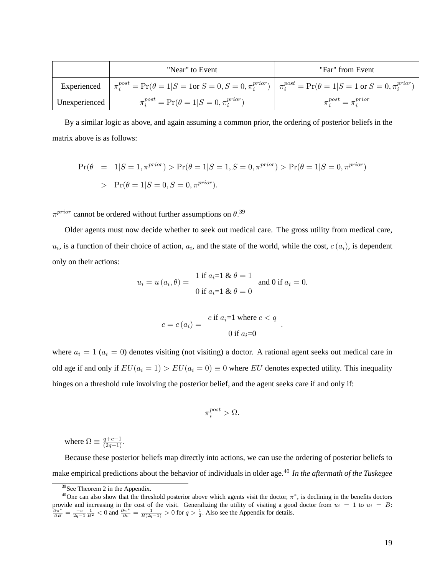|               | "Near" to Event                                                                                                                                                        | "Far" from Event           |
|---------------|------------------------------------------------------------------------------------------------------------------------------------------------------------------------|----------------------------|
|               | Experienced $\pi_i^{post} = \Pr(\theta = 1   S = 1 \text{ or } S = 0, S = 0, \pi_i^{prior})   \pi_i^{post} = \Pr(\theta = 1   S = 1 \text{ or } S = 0, \pi_i^{prior})$ |                            |
| Unexperienced | $\pi_i^{post} = \Pr(\theta = 1   S = 0, \pi_i^{prior})$                                                                                                                | $\pi^{post} = \pi^{prior}$ |

By a similar logic as above, and again assuming a common prior, the ordering of posterior beliefs in the matrix above is as follows:

$$
\Pr(\theta = 1|S=1, \pi^{prior}) > \Pr(\theta = 1|S=1, S=0, \pi^{prior}) > \Pr(\theta = 1|S=0, \pi^{prior})
$$
  
> 
$$
\Pr(\theta = 1|S=0, S=0, \pi^{prior}).
$$

 $\pi^{prior}$  cannot be ordered without further assumptions on  $\theta$ .<sup>39</sup>

Older agents must now decide whether to seek out medical care. The gross utility from medical care,  $u_i$ , is a function of their choice of action,  $a_i$ , and the state of the world, while the cost,  $c(a_i)$ , is dependent only on their actions:

$$
u_i = u(a_i, \theta) = \begin{cases} 1 \text{ if } a_i = 1 \& \theta = 1 \\ 0 \text{ if } a_i = 1 \& \theta = 0 \end{cases} \text{ and } 0 \text{ if } a_i = 0.
$$

$$
c = c(a_i) = \frac{c \text{ if } a_i = 1 \text{ where } c < q}{0 \text{ if } a_i = 0}
$$

:

where  $a_i = 1$  ( $a_i = 0$ ) denotes visiting (not visiting) a doctor. A rational agent seeks out medical care in old age if and only if  $EU(a_i = 1) > EU(a_i = 0) \equiv 0$  where EU denotes expected utility. This inequality hinges on a threshold rule involving the posterior belief, and the agent seeks care if and only if:

$$
\pi_i^{post} > \Omega.
$$

where  $\Omega \equiv \frac{q+c-1}{(2q-1)}$ .

Because these posterior beliefs map directly into actions, we can use the ordering of posterior beliefs to make empirical predictions about the behavior of individuals in older age.<sup>40</sup> *In the aftermath of the Tuskegee*

<sup>&</sup>lt;sup>39</sup>See Theorem 2 in the Appendix.

<sup>&</sup>lt;sup>40</sup>One can also show that the threshold posterior above which agents visit the doctor,  $\pi^*$ , is declining in the benefits doctors provide and increasing in the cost of the visit. Generalizing the utility of visiting a good doctor from  $u_i = 1$  to  $u_i = B$ :<br>  $\frac{\partial \pi^*}{\partial B} = \frac{-c}{2q-1} \frac{1}{B^2} < 0$  and  $\frac{\partial \pi^*}{\partial c} = \frac{1}{B(2q-1)} > 0$  for  $q > \frac{1}{2}$ . Also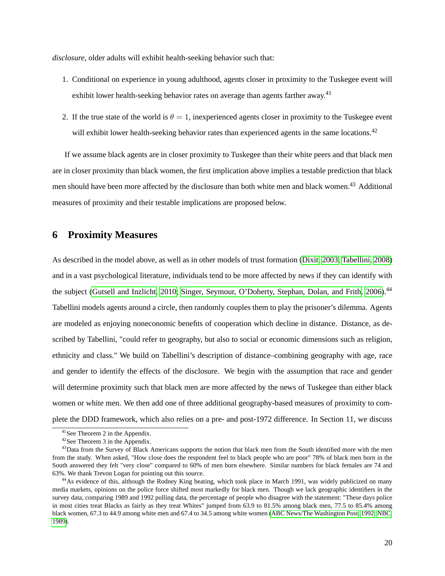*disclosure*, older adults will exhibit health-seeking behavior such that:

- 1. Conditional on experience in young adulthood, agents closer in proximity to the Tuskegee event will exhibit lower health-seeking behavior rates on average than agents farther away.<sup>41</sup>
- 2. If the true state of the world is  $\theta = 1$ , inexperienced agents closer in proximity to the Tuskegee event will exhibit lower health-seeking behavior rates than experienced agents in the same locations.<sup>42</sup>

If we assume black agents are in closer proximity to Tuskegee than their white peers and that black men are in closer proximity than black women, the first implication above implies a testable prediction that black men should have been more affected by the disclosure than both white men and black women.<sup>43</sup> Additional measures of proximity and their testable implications are proposed below.

## **6 Proximity Measures**

As described in the model above, as well as in other models of trust formation [\(Dixit, 2003;](#page-53-13) [Tabellini, 2008\)](#page-55-13) and in a vast psychological literature, individuals tend to be more affected by news if they can identify with the subject [\(Gutsell and Inzlicht, 2010;](#page-54-3) [Singer, Seymour, O'Doherty, Stephan, Dolan, and Frith, 2006\)](#page-55-4).<sup>44</sup> Tabellini models agents around a circle, then randomly couples them to play the prisoner's dilemma. Agents are modeled as enjoying noneconomic benefits of cooperation which decline in distance. Distance, as described by Tabellini, "could refer to geography, but also to social or economic dimensions such as religion, ethnicity and class." We build on Tabellini's description of distance–combining geography with age, race and gender to identify the effects of the disclosure. We begin with the assumption that race and gender will determine proximity such that black men are more affected by the news of Tuskegee than either black women or white men. We then add one of three additional geography-based measures of proximity to complete the DDD framework, which also relies on a pre- and post-1972 difference. In Section 11, we discuss

<sup>41</sup>See Theorem 2 in the Appendix.

<sup>42</sup>See Theorem 3 in the Appendix.

<sup>&</sup>lt;sup>43</sup>Data from the Survey of Black Americans supports the notion that black men from the South identified more with the men from the study. When asked, "How close does the respondent feel to black people who are poor" 78% of black men born in the South answered they felt "very close" compared to 60% of men born elsewhere. Similar numbers for black females are 74 and 63%. We thank Trevon Logan for pointing out this source.

<sup>&</sup>lt;sup>44</sup>As evidence of this, although the Rodney King beating, which took place in March 1991, was widely publicized on many media markets, opinions on the police force shifted most markedly for black men. Though we lack geographic identifiers in the survey data, comparing 1989 and 1992 polling data, the percentage of people who disagree with the statement: "These days police in most cities treat Blacks as fairly as they treat Whites" jumped from 63.9 to 81.5% among black men, 77.5 to 85.4% among black women, 67.3 to 44.9 among white men and 67.4 to 34.5 among white women [\(ABC News/The Washington Post, 1992;](#page-51-5) [NBC,](#page-54-14) [1989\)](#page-54-14).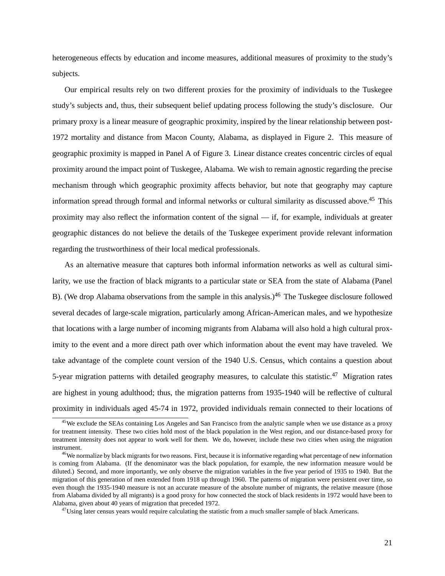heterogeneous effects by education and income measures, additional measures of proximity to the study's subjects.

Our empirical results rely on two different proxies for the proximity of individuals to the Tuskegee study's subjects and, thus, their subsequent belief updating process following the study's disclosure. Our primary proxy is a linear measure of geographic proximity, inspired by the linear relationship between post-1972 mortality and distance from Macon County, Alabama, as displayed in Figure 2. This measure of geographic proximity is mapped in Panel A of Figure 3. Linear distance creates concentric circles of equal proximity around the impact point of Tuskegee, Alabama. We wish to remain agnostic regarding the precise mechanism through which geographic proximity affects behavior, but note that geography may capture information spread through formal and informal networks or cultural similarity as discussed above.<sup>45</sup> This proximity may also reflect the information content of the signal — if, for example, individuals at greater geographic distances do not believe the details of the Tuskegee experiment provide relevant information regarding the trustworthiness of their local medical professionals.

As an alternative measure that captures both informal information networks as well as cultural similarity, we use the fraction of black migrants to a particular state or SEA from the state of Alabama (Panel B). (We drop Alabama observations from the sample in this analysis.)<sup>46</sup> The Tuskegee disclosure followed several decades of large-scale migration, particularly among African-American males, and we hypothesize that locations with a large number of incoming migrants from Alabama will also hold a high cultural proximity to the event and a more direct path over which information about the event may have traveled. We take advantage of the complete count version of the 1940 U.S. Census, which contains a question about 5-year migration patterns with detailed geography measures, to calculate this statistic.<sup>47</sup> Migration rates are highest in young adulthood; thus, the migration patterns from 1935-1940 will be reflective of cultural proximity in individuals aged 45-74 in 1972, provided individuals remain connected to their locations of

<sup>&</sup>lt;sup>45</sup>We exclude the SEAs containing Los Angeles and San Francisco from the analytic sample when we use distance as a proxy for treatment intensity. These two cities hold most of the black population in the West region, and our distance-based proxy for treatment intensity does not appear to work well for them. We do, however, include these two cities when using the migration instrument.

<sup>&</sup>lt;sup>46</sup>We normalize by black migrants for two reasons. First, because it is informative regarding what percentage of new information is coming from Alabama. (If the denominator was the black population, for example, the new information measure would be diluted.) Second, and more importantly, we only observe the migration variables in the five year period of 1935 to 1940. But the migration of this generation of men extended from 1918 up through 1960. The patterns of migration were persistent over time, so even though the 1935-1940 measure is not an accurate measure of the absolute number of migrants, the relative measure (those from Alabama divided by all migrants) is a good proxy for how connected the stock of black residents in 1972 would have been to Alabama, given about 40 years of migration that preceded 1972.

 $47$ Using later census years would require calculating the statistic from a much smaller sample of black Americans.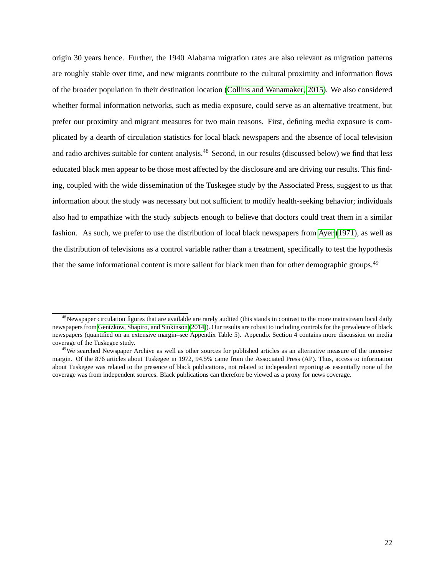origin 30 years hence. Further, the 1940 Alabama migration rates are also relevant as migration patterns are roughly stable over time, and new migrants contribute to the cultural proximity and information flows of the broader population in their destination location [\(Collins and Wanamaker, 2015\)](#page-53-14). We also considered whether formal information networks, such as media exposure, could serve as an alternative treatment, but prefer our proximity and migrant measures for two main reasons. First, defining media exposure is complicated by a dearth of circulation statistics for local black newspapers and the absence of local television and radio archives suitable for content analysis.<sup>48</sup> Second, in our results (discussed below) we find that less educated black men appear to be those most affected by the disclosure and are driving our results. This finding, coupled with the wide dissemination of the Tuskegee study by the Associated Press, suggest to us that information about the study was necessary but not sufficient to modify health-seeking behavior; individuals also had to empathize with the study subjects enough to believe that doctors could treat them in a similar fashion. As such, we prefer to use the distribution of local black newspapers from [Ayer](#page-52-16) [\(1971\)](#page-52-16), as well as the distribution of televisions as a control variable rather than a treatment, specifically to test the hypothesis that the same informational content is more salient for black men than for other demographic groups.<sup>49</sup>

 $48$ Newspaper circulation figures that are available are rarely audited (this stands in contrast to the more mainstream local daily newspapers from [Gentzkow, Shapiro, and Sinkinson](#page-53-15) [\(2014\)](#page-53-15)). Our results are robust to including controls for the prevalence of black newspapers (quantified on an extensive margin–see Appendix Table 5). Appendix Section 4 contains more discussion on media coverage of the Tuskegee study.

 $49$ We searched Newspaper Archive as well as other sources for published articles as an alternative measure of the intensive margin. Of the 876 articles about Tuskegee in 1972, 94.5% came from the Associated Press (AP). Thus, access to information about Tuskegee was related to the presence of black publications, not related to independent reporting as essentially none of the coverage was from independent sources. Black publications can therefore be viewed as a proxy for news coverage.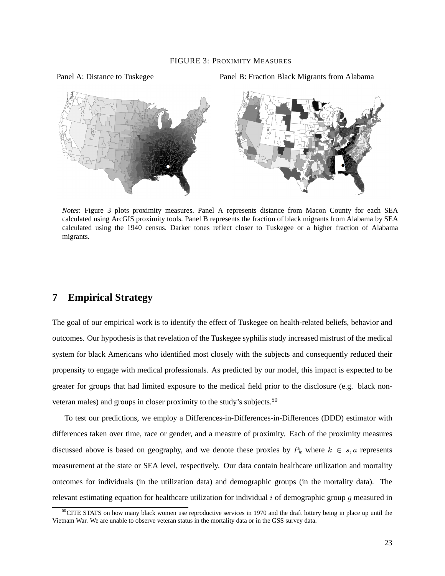#### FIGURE 3: PROXIMITY MEASURES

Panel A: Distance to Tuskegee Panel B: Fraction Black Migrants from Alabama



*Notes*: Figure 3 plots proximity measures. Panel A represents distance from Macon County for each SEA calculated using ArcGIS proximity tools. Panel B represents the fraction of black migrants from Alabama by SEA calculated using the 1940 census. Darker tones reflect closer to Tuskegee or a higher fraction of Alabama migrants.

# **7 Empirical Strategy**

The goal of our empirical work is to identify the effect of Tuskegee on health-related beliefs, behavior and outcomes. Our hypothesis is that revelation of the Tuskegee syphilis study increased mistrust of the medical system for black Americans who identified most closely with the subjects and consequently reduced their propensity to engage with medical professionals. As predicted by our model, this impact is expected to be greater for groups that had limited exposure to the medical field prior to the disclosure (e.g. black nonveteran males) and groups in closer proximity to the study's subjects.<sup>50</sup>

To test our predictions, we employ a Differences-in-Differences-in-Differences (DDD) estimator with differences taken over time, race or gender, and a measure of proximity. Each of the proximity measures discussed above is based on geography, and we denote these proxies by  $P_k$  where  $k \in s, a$  represents measurement at the state or SEA level, respectively. Our data contain healthcare utilization and mortality outcomes for individuals (in the utilization data) and demographic groups (in the mortality data). The relevant estimating equation for healthcare utilization for individual  $i$  of demographic group q measured in

 $50$ CITE STATS on how many black women use reproductive services in 1970 and the draft lottery being in place up until the Vietnam War. We are unable to observe veteran status in the mortality data or in the GSS survey data.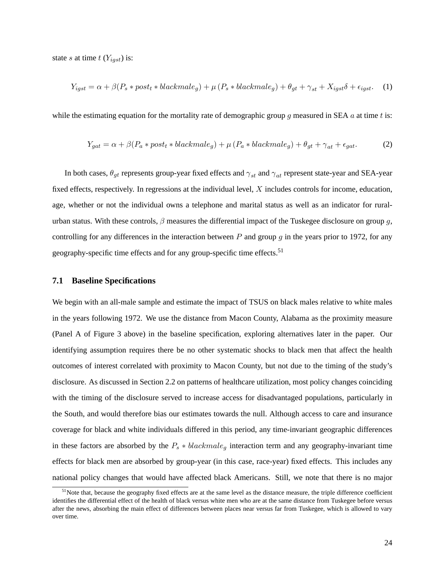state s at time  $t$  ( $Y_{igst}$ ) is:

<span id="page-23-0"></span>
$$
Y_{igst} = \alpha + \beta (P_s * post_t * blackmale_g) + \mu (P_s * blackmale_g) + \theta_{gt} + \gamma_{st} + X_{igst} \delta + \epsilon_{igst}. \tag{1}
$$

while the estimating equation for the mortality rate of demographic group g measured in SEA  $a$  at time  $t$  is:

<span id="page-23-1"></span>
$$
Y_{gat} = \alpha + \beta (P_a * post_t * blackmale_g) + \mu (P_a * black male_g) + \theta_{gt} + \gamma_{at} + \epsilon_{gat}.
$$
 (2)

In both cases,  $\theta_{gt}$  represents group-year fixed effects and  $\gamma_{st}$  and  $\gamma_{at}$  represent state-year and SEA-year fixed effects, respectively. In regressions at the individual level, X includes controls for income, education, age, whether or not the individual owns a telephone and marital status as well as an indicator for ruralurban status. With these controls,  $\beta$  measures the differential impact of the Tuskegee disclosure on group q, controlling for any differences in the interaction between P and group q in the years prior to 1972, for any geography-specific time effects and for any group-specific time effects.<sup>51</sup>

#### **7.1 Baseline Specifications**

We begin with an all-male sample and estimate the impact of TSUS on black males relative to white males in the years following 1972. We use the distance from Macon County, Alabama as the proximity measure (Panel A of Figure 3 above) in the baseline specification, exploring alternatives later in the paper. Our identifying assumption requires there be no other systematic shocks to black men that affect the health outcomes of interest correlated with proximity to Macon County, but not due to the timing of the study's disclosure. As discussed in Section 2.2 on patterns of healthcare utilization, most policy changes coinciding with the timing of the disclosure served to increase access for disadvantaged populations, particularly in the South, and would therefore bias our estimates towards the null. Although access to care and insurance coverage for black and white individuals differed in this period, any time-invariant geographic differences in these factors are absorbed by the  $P_s * blackmale_q$  interaction term and any geography-invariant time effects for black men are absorbed by group-year (in this case, race-year) fixed effects. This includes any national policy changes that would have affected black Americans. Still, we note that there is no major

<sup>&</sup>lt;sup>51</sup>Note that, because the geography fixed effects are at the same level as the distance measure, the triple difference coefficient identifies the differential effect of the health of black versus white men who are at the same distance from Tuskegee before versus after the news, absorbing the main effect of differences between places near versus far from Tuskegee, which is allowed to vary over time.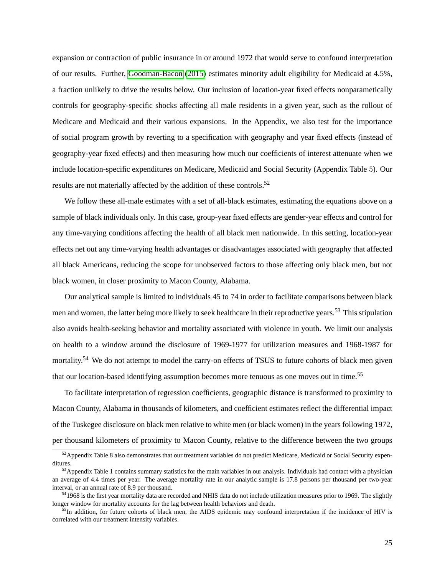expansion or contraction of public insurance in or around 1972 that would serve to confound interpretation of our results. Further, [Goodman-Bacon](#page-54-6) [\(2015\)](#page-54-6) estimates minority adult eligibility for Medicaid at 4.5%, a fraction unlikely to drive the results below. Our inclusion of location-year fixed effects nonparametically controls for geography-specific shocks affecting all male residents in a given year, such as the rollout of Medicare and Medicaid and their various expansions. In the Appendix, we also test for the importance of social program growth by reverting to a specification with geography and year fixed effects (instead of geography-year fixed effects) and then measuring how much our coefficients of interest attenuate when we include location-specific expenditures on Medicare, Medicaid and Social Security (Appendix Table 5). Our results are not materially affected by the addition of these controls.<sup>52</sup>

We follow these all-male estimates with a set of all-black estimates, estimating the equations above on a sample of black individuals only. In this case, group-year fixed effects are gender-year effects and control for any time-varying conditions affecting the health of all black men nationwide. In this setting, location-year effects net out any time-varying health advantages or disadvantages associated with geography that affected all black Americans, reducing the scope for unobserved factors to those affecting only black men, but not black women, in closer proximity to Macon County, Alabama.

Our analytical sample is limited to individuals 45 to 74 in order to facilitate comparisons between black men and women, the latter being more likely to seek healthcare in their reproductive years.<sup>53</sup> This stipulation also avoids health-seeking behavior and mortality associated with violence in youth. We limit our analysis on health to a window around the disclosure of 1969-1977 for utilization measures and 1968-1987 for mortality.<sup>54</sup> We do not attempt to model the carry-on effects of TSUS to future cohorts of black men given that our location-based identifying assumption becomes more tenuous as one moves out in time.<sup>55</sup>

To facilitate interpretation of regression coefficients, geographic distance is transformed to proximity to Macon County, Alabama in thousands of kilometers, and coefficient estimates reflect the differential impact of the Tuskegee disclosure on black men relative to white men (or black women) in the years following 1972, per thousand kilometers of proximity to Macon County, relative to the difference between the two groups

<sup>&</sup>lt;sup>52</sup>Appendix Table 8 also demonstrates that our treatment variables do not predict Medicare, Medicaid or Social Security expenditures.

 $53$  Appendix Table 1 contains summary statistics for the main variables in our analysis. Individuals had contact with a physician an average of 4.4 times per year. The average mortality rate in our analytic sample is 17.8 persons per thousand per two-year interval, or an annual rate of 8.9 per thousand.

<sup>&</sup>lt;sup>54</sup>1968 is the first year mortality data are recorded and NHIS data do not include utilization measures prior to 1969. The slightly longer window for mortality accounts for the lag between health behaviors and death.

<sup>&</sup>lt;sup>55</sup>In addition, for future cohorts of black men, the AIDS epidemic may confound interpretation if the incidence of HIV is correlated with our treatment intensity variables.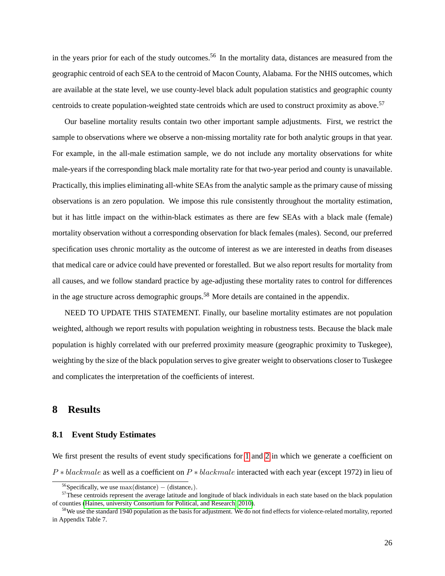in the years prior for each of the study outcomes.<sup>56</sup> In the mortality data, distances are measured from the geographic centroid of each SEA to the centroid of Macon County, Alabama. For the NHIS outcomes, which are available at the state level, we use county-level black adult population statistics and geographic county centroids to create population-weighted state centroids which are used to construct proximity as above.<sup>57</sup>

Our baseline mortality results contain two other important sample adjustments. First, we restrict the sample to observations where we observe a non-missing mortality rate for both analytic groups in that year. For example, in the all-male estimation sample, we do not include any mortality observations for white male-years if the corresponding black male mortality rate for that two-year period and county is unavailable. Practically, this implies eliminating all-white SEAs from the analytic sample as the primary cause of missing observations is an zero population. We impose this rule consistently throughout the mortality estimation, but it has little impact on the within-black estimates as there are few SEAs with a black male (female) mortality observation without a corresponding observation for black females (males). Second, our preferred specification uses chronic mortality as the outcome of interest as we are interested in deaths from diseases that medical care or advice could have prevented or forestalled. But we also report results for mortality from all causes, and we follow standard practice by age-adjusting these mortality rates to control for differences in the age structure across demographic groups.<sup>58</sup> More details are contained in the appendix.

NEED TO UPDATE THIS STATEMENT. Finally, our baseline mortality estimates are not population weighted, although we report results with population weighting in robustness tests. Because the black male population is highly correlated with our preferred proximity measure (geographic proximity to Tuskegee), weighting by the size of the black population serves to give greater weight to observations closer to Tuskegee and complicates the interpretation of the coefficients of interest.

# **8 Results**

### **8.1 Event Study Estimates**

We first present the results of event study specifications for [1](#page-23-0) and [2](#page-23-1) in which we generate a coefficient on  $P * blackmale$  as well as a coefficient on  $P * blackmale$  interacted with each year (except 1972) in lieu of

<sup>&</sup>lt;sup>56</sup>Specifically, we use max(distance) – (distance<sub>i</sub>).

 $57$ These centroids represent the average latitude and longitude of black individuals in each state based on the black population of counties [\(Haines, university Consortium for Political, and Research, 2010\)](#page-54-15).

 $58$ We use the standard 1940 population as the basis for adjustment. We do not find effects for violence-related mortality, reported in Appendix Table 7.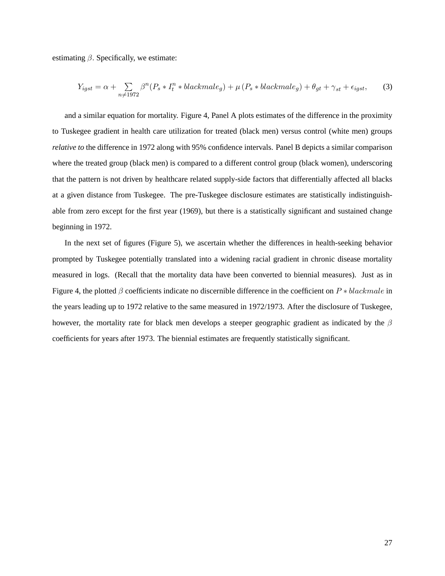estimating  $\beta$ . Specifically, we estimate:

$$
Y_{igst} = \alpha + \sum_{n \neq 1972} \beta^n (P_s * I_t^n * blackmale_g) + \mu (P_s * blackmale_g) + \theta_{gt} + \gamma_{st} + \epsilon_{igst}, \tag{3}
$$

and a similar equation for mortality. Figure 4, Panel A plots estimates of the difference in the proximity to Tuskegee gradient in health care utilization for treated (black men) versus control (white men) groups *relative to* the difference in 1972 along with 95% confidence intervals. Panel B depicts a similar comparison where the treated group (black men) is compared to a different control group (black women), underscoring that the pattern is not driven by healthcare related supply-side factors that differentially affected all blacks at a given distance from Tuskegee. The pre-Tuskegee disclosure estimates are statistically indistinguishable from zero except for the first year (1969), but there is a statistically significant and sustained change beginning in 1972.

In the next set of figures (Figure 5), we ascertain whether the differences in health-seeking behavior prompted by Tuskegee potentially translated into a widening racial gradient in chronic disease mortality measured in logs. (Recall that the mortality data have been converted to biennial measures). Just as in Figure 4, the plotted  $\beta$  coefficients indicate no discernible difference in the coefficient on  $P * blackmale$  in the years leading up to 1972 relative to the same measured in 1972/1973. After the disclosure of Tuskegee, however, the mortality rate for black men develops a steeper geographic gradient as indicated by the  $\beta$ coefficients for years after 1973. The biennial estimates are frequently statistically significant.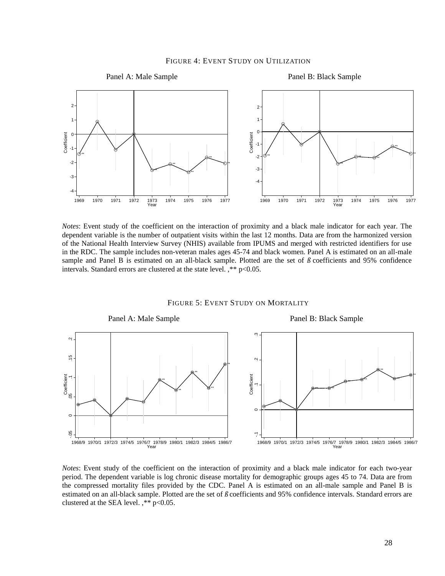#### FIGURE 4: EVENT STUDY ON UTILIZATION



*Notes*: Event study of the coefficient on the interaction of proximity and a black male indicator for each year. The dependent variable is the number of outpatient visits within the last 12 months. Data are from the harmonized version of the National Health Interview Survey (NHIS) available from IPUMS and merged with restricted identifiers for use in the RDC. The sample includes non-veteran males ages 45-74 and black women. Panel A is estimated on an all-male sample and Panel B is estimated on an all-black sample. Plotted are the set of *ß* coefficients and 95% confidence intervals. Standard errors are clustered at the state level. ,\*\* p<0.05.

#### FIGURE 5: EVENT STUDY ON MORTALITY



*Notes*: Event study of the coefficient on the interaction of proximity and a black male indicator for each two-year period. The dependent variable is log chronic disease mortality for demographic groups ages 45 to 74. Data are from the compressed mortality files provided by the CDC. Panel A is estimated on an all-male sample and Panel B is estimated on an all-black sample. Plotted are the set of *ß* coefficients and 95% confidence intervals. Standard errors are clustered at the SEA level. ,\*\* p<0.05.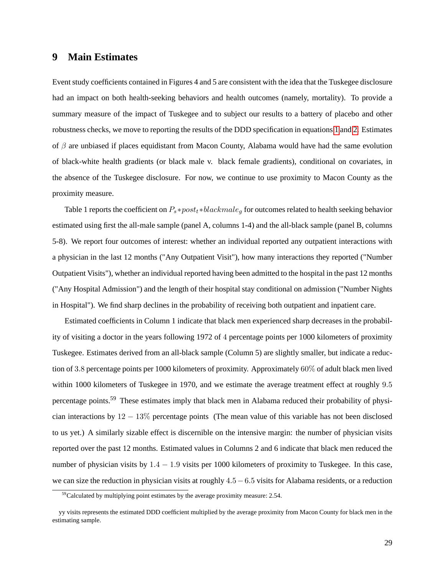# **9 Main Estimates**

Event study coefficients contained in Figures 4 and 5 are consistent with the idea that the Tuskegee disclosure had an impact on both health-seeking behaviors and health outcomes (namely, mortality). To provide a summary measure of the impact of Tuskegee and to subject our results to a battery of placebo and other robustness checks, we move to reporting the results of the DDD specification in equations [1](#page-23-0) and [2.](#page-23-1) Estimates of  $\beta$  are unbiased if places equidistant from Macon County, Alabama would have had the same evolution of black-white health gradients (or black male v. black female gradients), conditional on covariates, in the absence of the Tuskegee disclosure. For now, we continue to use proximity to Macon County as the proximity measure.

Table 1 reports the coefficient on  $P_s*post_t*blackmale_q$  for outcomes related to health seeking behavior estimated using first the all-male sample (panel A, columns 1-4) and the all-black sample (panel B, columns 5-8). We report four outcomes of interest: whether an individual reported any outpatient interactions with a physician in the last 12 months ("Any Outpatient Visit"), how many interactions they reported ("Number Outpatient Visits"), whether an individual reported having been admitted to the hospital in the past 12 months ("Any Hospital Admission") and the length of their hospital stay conditional on admission ("Number Nights in Hospital"). We find sharp declines in the probability of receiving both outpatient and inpatient care.

Estimated coefficients in Column 1 indicate that black men experienced sharp decreases in the probability of visiting a doctor in the years following 1972 of 4 percentage points per 1000 kilometers of proximity Tuskegee. Estimates derived from an all-black sample (Column 5) are slightly smaller, but indicate a reduction of 3:8 percentage points per 1000 kilometers of proximity. Approximately 60% of adult black men lived within 1000 kilometers of Tuskegee in 1970, and we estimate the average treatment effect at roughly 9:5 percentage points.<sup>59</sup> These estimates imply that black men in Alabama reduced their probability of physician interactions by  $12 - 13\%$  percentage points (The mean value of this variable has not been disclosed to us yet.) A similarly sizable effect is discernible on the intensive margin: the number of physician visits reported over the past 12 months. Estimated values in Columns 2 and 6 indicate that black men reduced the number of physician visits by  $1.4 - 1.9$  visits per 1000 kilometers of proximity to Tuskegee. In this case, we can size the reduction in physician visits at roughly  $4.5-6.5$  visits for Alabama residents, or a reduction

 $59$ Calculated by multiplying point estimates by the average proximity measure: 2.54.

yy visits represents the estimated DDD coefficient multiplied by the average proximity from Macon County for black men in the estimating sample.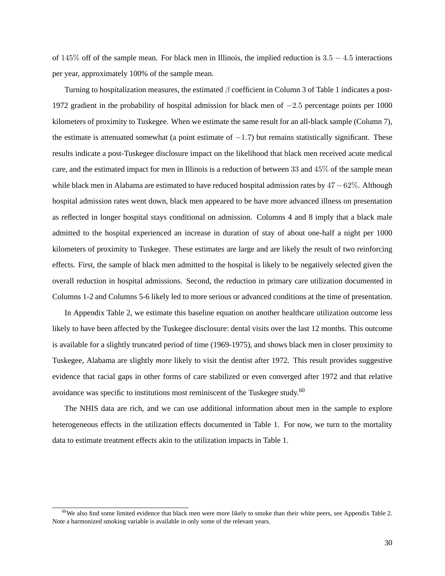of  $145\%$  off of the sample mean. For black men in Illinois, the implied reduction is  $3.5 - 4.5$  interactions per year, approximately 100% of the sample mean.

Turning to hospitalization measures, the estimated  $\beta$  coefficient in Column 3 of Table 1 indicates a post-1972 gradient in the probability of hospital admission for black men of  $-2.5$  percentage points per 1000 kilometers of proximity to Tuskegee. When we estimate the same result for an all-black sample (Column 7), the estimate is attenuated somewhat (a point estimate of  $-1.7$ ) but remains statistically significant. These results indicate a post-Tuskegee disclosure impact on the likelihood that black men received acute medical care, and the estimated impact for men in Illinois is a reduction of between 33 and 45% of the sample mean while black men in Alabama are estimated to have reduced hospital admission rates by  $47-62\%$ . Although hospital admission rates went down, black men appeared to be have more advanced illness on presentation as reflected in longer hospital stays conditional on admission. Columns 4 and 8 imply that a black male admitted to the hospital experienced an increase in duration of stay of about one-half a night per 1000 kilometers of proximity to Tuskegee. These estimates are large and are likely the result of two reinforcing effects. First, the sample of black men admitted to the hospital is likely to be negatively selected given the overall reduction in hospital admissions. Second, the reduction in primary care utilization documented in Columns 1-2 and Columns 5-6 likely led to more serious or advanced conditions at the time of presentation.

In Appendix Table 2, we estimate this baseline equation on another healthcare utilization outcome less likely to have been affected by the Tuskegee disclosure: dental visits over the last 12 months. This outcome is available for a slightly truncated period of time (1969-1975), and shows black men in closer proximity to Tuskegee, Alabama are slightly *more* likely to visit the dentist after 1972. This result provides suggestive evidence that racial gaps in other forms of care stabilized or even converged after 1972 and that relative avoidance was specific to institutions most reminiscent of the Tuskegee study.<sup>60</sup>

The NHIS data are rich, and we can use additional information about men in the sample to explore heterogeneous effects in the utilization effects documented in Table 1. For now, we turn to the mortality data to estimate treatment effects akin to the utilization impacts in Table 1.

 $60$ We also find some limited evidence that black men were more likely to smoke than their white peers, see Appendix Table 2. Note a harmonized smoking variable is available in only some of the relevant years.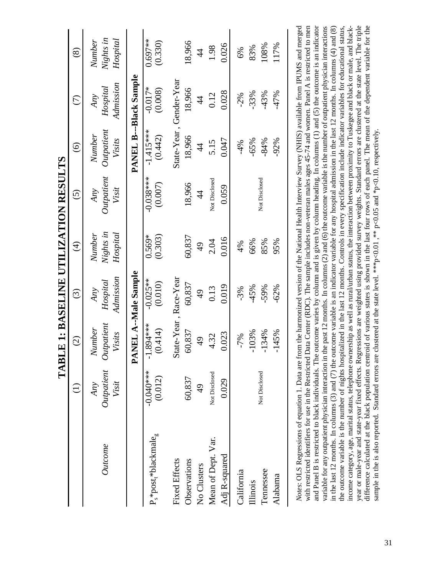| l             |
|---------------|
| )<br> <br>    |
| ・・・・・・・       |
|               |
|               |
|               |
| י<br>ון       |
|               |
| י<br> <br>    |
|               |
|               |
| $\frac{1}{2}$ |
|               |
|               |
| ן<br>ז        |
| ĺ             |
|               |
| ן<br>ן        |
|               |
|               |
| l             |

|                              |                            | $\odot$                               | $\widehat{\odot}$            | $\bigoplus$                            | $\widehat{S}$              | $\odot$                               | $\widehat{\in}$              | $\circledast$                   |
|------------------------------|----------------------------|---------------------------------------|------------------------------|----------------------------------------|----------------------------|---------------------------------------|------------------------------|---------------------------------|
| <b>Outcome</b>               | Outpatient<br>Visit<br>Any | Outpatient<br><b>Number</b><br>Visits | Admission<br>Hospital<br>Any | Nights in<br><b>Number</b><br>Hospital | Outpatient<br>Visit<br>Any | Outpatient<br><b>Number</b><br>Visits | Admission<br>Hospital<br>Any | Nights in<br>Hospital<br>Number |
|                              |                            | PANEL A--Male Sample                  |                              |                                        |                            |                                       | PANEL B---Black Sample       |                                 |
| $P_s * post_t * blackmale_g$ | $-0.040**$<br>(0.012)      | $-1.894***$<br>(0.414)                | $-0.025**$<br>(0.010)        | (0.303)<br>$0.569*$                    | $-0.038***$<br>(0.007)     | $-1.415***$<br>(0.442)                | $-0.017*$<br>(0.008)         | $0.697**$<br>(0.330)            |
| <b>Fixed Effects</b>         |                            | State-Year, Race-Year                 |                              |                                        |                            | State-Year, Gender-Year               |                              |                                 |
| Observations                 | 60,837                     | 60,837                                | 60,837                       | 60,837                                 | 18,966                     | 18,966                                | 18,966                       | 18,966                          |
| No Clusters                  | $\frac{1}{4}$              | $\frac{1}{6}$                         | $\frac{1}{6}$                | $\frac{4}{9}$                          | $\ddot{4}$                 | $\frac{4}{3}$                         | $\frac{4}{3}$                | $\frac{4}{3}$                   |
| Mean of Dept. Var.           | Not Disclosed              | 4.32                                  | 0.13                         | 2.04                                   | Not Disclosed              | 5.15                                  | 0.12                         | 1.98                            |
| Adj R-squared                | 0.029                      | 0.023                                 | 0.019                        | 0.016                                  | 0.059                      | 0.047                                 | 0.028                        | 0.026                           |
| California                   |                            | $-7%$                                 | $-3%$                        | 4%                                     |                            | $-4%$                                 | $-2%$                        | 6%                              |
| <b>Illinois</b>              |                            | $-103%$                               | $-45%$                       | 66%                                    |                            | $-65%$                                | $-33%$                       | 83%                             |
| Tennessee                    | Not Disclosed              | $-134%$                               | $-59%$                       | 85%                                    | Not Disclosed              | $-84%$                                | $-43%$                       | 108%                            |
| Alabama                      |                            | $-145%$                               | $-62%$                       | 95%                                    |                            | $-92%$                                | $-47%$                       | 117%                            |
|                              |                            |                                       |                              |                                        |                            |                                       |                              |                                 |

cear or male-year and state-year fixed effects. Regressions are weighted using provided survey weights. Standard errors are clustered at the state level. The triple Votes: OLS Regressions of equation 1. Data are from the harmonized version of the National Health Interview Survey (NHIS) available from IPUMS and merged with restricted identifiers for use in the Restricted Data Center (RDC). The sample includes non-veteran males ages 45-74 and women. Panel A is restricted to men and Panel B is restricted to black individuals. The outcome varies by column and is given by column heading. In columns (1) and (5) the outcome is an indicator difference calculated at the black population centroid of various states is shown in the last four rows of each panel. The mean of the dependent variable for the and Panel B is restricted to black individuals. The outcome varies by column and is given by column heading. In columns (1) and (5) the outcome is an indicator variable for any outpatient physician interaction in the past 12 months. In columns (2) and (6) the outcome variable is the number of outpatient physician interactions n the last 12 months. In columns (3) and (7) the outcome variable is an indicator variable for any hospital admission in the last 12 months. In columns (4) and (8) he outcome variable is the number of nights hospitalized in the last 12 months. Controls in every specification include indicator variables for educational status, ncome category, age, marital status, telephone ownership as well as rural/urban status, the interaction between proximity to Tuskegee and black or male, and black-*Notes*: OLS Regressions of equation 1. Data are from the harmonized version of the National Health Interview Survey (NHIS) available from IPUMS and merged with restricted identifiers for use in the Restricted Data Center (RDC). The sample includes non-veteran males ages 45-74 and women. Panel A is restricted to men variable for any outpatient physician interaction in the past 12 months. In columns (2) and (6) the outcome variable is the number of outpatient physician interactions in the last 12 months. In columns (3) and (7) the outcome variable is an indicator variable for any hospital admission in the last 12 months. In columns (4) and (8) the outcome variable is the number of nights hospitalized in the last 12 months. Controls in every specification include indicator variables for educational status, income category, age, marital status, telephone ownership as well as rural/urban status, the interaction between proximity to Tuskegee and black or male, and blackyear or male-year and state-year fixed effects. Regressions are weighted using provided survey weights. Standard errors are clustered at the state level. The triple difference calculated at the black population centroid of various states is shown in the last four rows of each panel. The mean of the dependent variable for the sample in the is also reported. Standard errors are clustered at the state level. \*\*\*p<0.01, \*\* p<0.05 and \*p<0.10, respectively. sample in the is also reported. Standard errors are clustered at the state level. \*\*\* p<0.01 ,\*\* p<0.05 and \*p<0.10, respectively.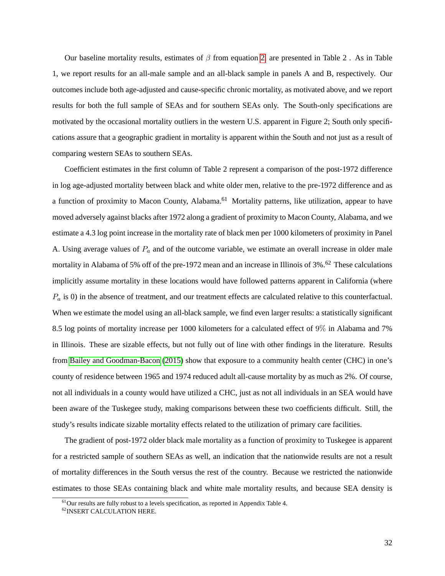Our baseline mortality results, estimates of  $\beta$  from equation [2,](#page-23-1) are presented in Table 2. As in Table 1, we report results for an all-male sample and an all-black sample in panels A and B, respectively. Our outcomes include both age-adjusted and cause-specific chronic mortality, as motivated above, and we report results for both the full sample of SEAs and for southern SEAs only. The South-only specifications are motivated by the occasional mortality outliers in the western U.S. apparent in Figure 2; South only specifications assure that a geographic gradient in mortality is apparent within the South and not just as a result of comparing western SEAs to southern SEAs.

Coefficient estimates in the first column of Table 2 represent a comparison of the post-1972 difference in log age-adjusted mortality between black and white older men, relative to the pre-1972 difference and as a function of proximity to Macon County, Alabama.<sup>61</sup> Mortality patterns, like utilization, appear to have moved adversely against blacks after 1972 along a gradient of proximity to Macon County, Alabama, and we estimate a 4.3 log point increase in the mortality rate of black men per 1000 kilometers of proximity in Panel A. Using average values of  $P_a$  and of the outcome variable, we estimate an overall increase in older male mortality in Alabama of 5% off of the pre-1972 mean and an increase in Illinois of 3%.<sup>62</sup> These calculations implicitly assume mortality in these locations would have followed patterns apparent in California (where  $P_a$  is 0) in the absence of treatment, and our treatment effects are calculated relative to this counterfactual. When we estimate the model using an all-black sample, we find even larger results: a statistically significant 8.5 log points of mortality increase per 1000 kilometers for a calculated effect of 9% in Alabama and 7% in Illinois. These are sizable effects, but not fully out of line with other findings in the literature. Results from [Bailey and Goodman-Bacon](#page-52-12) [\(2015\)](#page-52-12) show that exposure to a community health center (CHC) in one's county of residence between 1965 and 1974 reduced adult all-cause mortality by as much as 2%. Of course, not all individuals in a county would have utilized a CHC, just as not all individuals in an SEA would have been aware of the Tuskegee study, making comparisons between these two coefficients difficult. Still, the study's results indicate sizable mortality effects related to the utilization of primary care facilities.

The gradient of post-1972 older black male mortality as a function of proximity to Tuskegee is apparent for a restricted sample of southern SEAs as well, an indication that the nationwide results are not a result of mortality differences in the South versus the rest of the country. Because we restricted the nationwide estimates to those SEAs containing black and white male mortality results, and because SEA density is

<sup>&</sup>lt;sup>61</sup>Our results are fully robust to a levels specification, as reported in Appendix Table 4.

<sup>62</sup>INSERT CALCULATION HERE.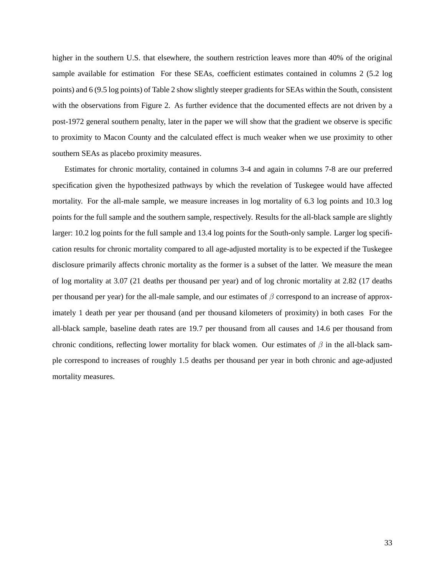higher in the southern U.S. that elsewhere, the southern restriction leaves more than 40% of the original sample available for estimation For these SEAs, coefficient estimates contained in columns 2 (5.2 log points) and 6 (9.5 log points) of Table 2 show slightly steeper gradients for SEAs within the South, consistent with the observations from Figure 2. As further evidence that the documented effects are not driven by a post-1972 general southern penalty, later in the paper we will show that the gradient we observe is specific to proximity to Macon County and the calculated effect is much weaker when we use proximity to other southern SEAs as placebo proximity measures.

Estimates for chronic mortality, contained in columns 3-4 and again in columns 7-8 are our preferred specification given the hypothesized pathways by which the revelation of Tuskegee would have affected mortality. For the all-male sample, we measure increases in log mortality of 6.3 log points and 10.3 log points for the full sample and the southern sample, respectively. Results for the all-black sample are slightly larger: 10.2 log points for the full sample and 13.4 log points for the South-only sample. Larger log specification results for chronic mortality compared to all age-adjusted mortality is to be expected if the Tuskegee disclosure primarily affects chronic mortality as the former is a subset of the latter. We measure the mean of log mortality at 3.07 (21 deaths per thousand per year) and of log chronic mortality at 2.82 (17 deaths per thousand per year) for the all-male sample, and our estimates of  $\beta$  correspond to an increase of approximately 1 death per year per thousand (and per thousand kilometers of proximity) in both cases For the all-black sample, baseline death rates are 19.7 per thousand from all causes and 14.6 per thousand from chronic conditions, reflecting lower mortality for black women. Our estimates of  $\beta$  in the all-black sample correspond to increases of roughly 1.5 deaths per thousand per year in both chronic and age-adjusted mortality measures.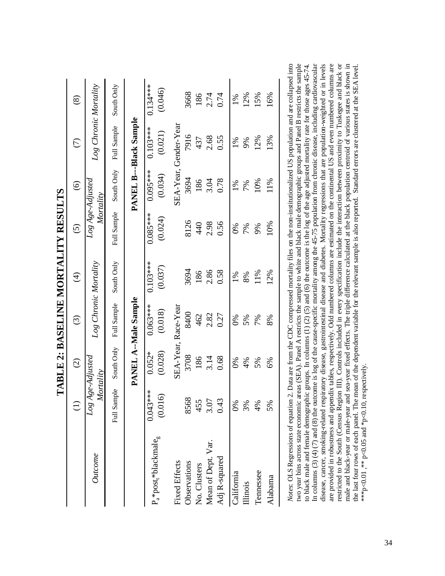|                              |                               |                     |                       |                          | TABLE 2: BASELINE MORTALITY RESULTS |                       |                        |                       |
|------------------------------|-------------------------------|---------------------|-----------------------|--------------------------|-------------------------------------|-----------------------|------------------------|-----------------------|
|                              |                               | $\widehat{C}$       | $\widehat{\odot}$     | $\widehat{\mathfrak{t}}$ | $\widehat{c}$                       | $\widehat{\odot}$     | $\widehat{\in}$        | $\circledast$         |
| Outcome                      | Log Age-Adjustea<br>Mortality |                     | Log Chronic Mortality |                          | $Log Age$ -Adjusted<br>Mortality    |                       | Log Chronic Mortality  |                       |
|                              | Full Sample                   | South Only          | Full Sample           | South Only               | Full Sample                         | South Only            | Full Sample            | South Only            |
|                              |                               |                     | PANEL A--Male Sample  |                          |                                     |                       | PANEL B---Black Sample |                       |
| $P_a * post_t * blackmale_g$ | $0.043***$<br>(0.016)         | (0.028)<br>$0.052*$ | $0.063***$<br>(0.018) | $0.103***$<br>(0.037)    | $0.085***$<br>(0.024)               | $0.095***$<br>(0.034) | $0.103***$<br>(0.021)  | $0.134***$<br>(0.046) |
| <b>Fixed Effects</b>         |                               |                     | SEA-Year, Race-Year   |                          |                                     |                       | SEA-Year, Gender-Year  |                       |
| Observations                 | 8568                          | 3708                | 8400                  | 3694                     | 8126                                | 3694                  | 7916                   | 3668                  |
| No. Clusters                 | 455                           | 186                 | 462                   | 186                      | 440                                 | 186                   | 437                    | 186                   |
| Mean of Dept. Var.           | 3.07                          | 3.14                | 2.82                  | 2.86                     | 2.98                                | 3.04                  | 2.68                   | 2.74                  |
| Adj R-squared                | 0.43                          | 0.68                | 0.27                  | 0.58                     | 0.56                                | 0.78                  | 0.55                   | 0.74                  |
| California                   | 0%                            | $\frac{6}{20}$      | 6%                    | $1\%$                    | $0\%$                               | 1%                    | 1%                     | 1%                    |
| Illinois                     | 3%                            | 4%                  | 5%                    | 8%                       | 7%                                  | 7%                    | 9%                     | 12%                   |
| Tennessee                    | 4%                            | 5%                  | 7%                    | 11%                      | 9%                                  | 10%                   | 12%                    | 15%                   |
| Alabama                      | 5%                            | 6%                  | 8%                    | 12%                      | 10%                                 | 11%                   | 13%                    | 16%                   |
| しょく                          |                               |                     | י<br>ג                |                          |                                     |                       |                        |                       |

restricted to the South (Census Region III). Controls included in every specification include the interaction between proximity to Tuskegee and black or Notes: OLS Regressions of equation 2. Data are from the CDC compressed mortality files on the non-institutionalized US population and are collapsed into wo year bins across state economic areas (SEA). Panel A restricts the sample to white and black male demographic groups and Panel B restricts the sample to black male and female demographic groups. In columns (1) (2) (5) and (6) the outcome is the log of the age adjusted mortality rate for those ages 45-74.<br>In columns (3) (4) (7) and (8) the outcome is log of the cause-sp disease, cancer, smoking-related respiratory disease, gastrointestinal disease and diabetes. Mortality regressions that are population-weighted or in levels are provided in robustness and appendix tables, respectively. Odd numbered columns are estimated on the continental US and even numbered columns are male and black-year or male-year and sea-year fixed effects. The triple difference calculated at the black population centroid of various states is shown in *Notes*: OLS Regressions of equation 2. Data are from the CDC compressed mortality files on the non-institutionalized US population and are collapsed into two year bins across state economic areas (SEA). Panel A restricts the sample to white and black male demographic groups and Panel B restricts the sample In columns (3) (7) and (8) the outcome is log of the cause-specific mortality among the 45-75 population from chronic disease, including cardiovascular restricted to the South (Census Region III). Controls included in every specification include the interaction between proximity to Tuskegee and black or the last four rows of each panel. The mean of the dependent variable for the relevant sample is also reported. Standard errors are clustered at the SEA level. to black male and female demographic groups. In columns (1) (2) (5) and (6) the outcome is the log of the age adjusted mortality rate for those ages 45-74. disease, cancer, smoking-related respiratory disease, gastrointestinal disease and diabetes. Mortality regressions that are population-weighted or in levels are provided in robustness and appendix tables, respectively. Odd numbered columns are estimated on the continental US and even numbered columns are male and black-year or male-year and sea-year fixed effects. The triple difference calculated at the black population centroid of various states is shown in the last four rows of each panel. The mean of the dependent variable for the relevant sample is also reported. Standard errors are clustered at the SEA level. \*\*\* p<0.01,\*\*\* p<0.05 and \*p<0.10, respectively. \*\*\*p<0.01, \*\* p<0.05 and \*p<0.10, respectively.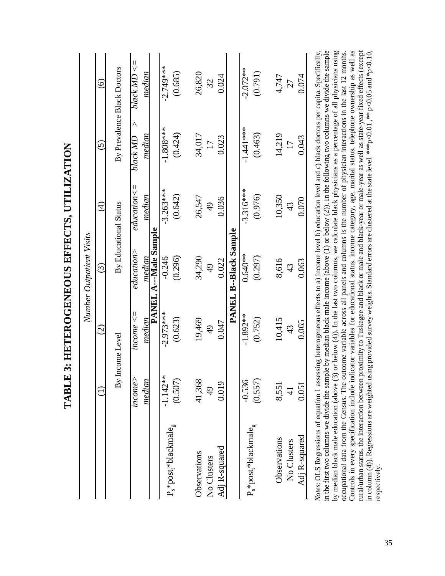|                                                                                                                                                                                                                                                                                                                                                                                                                                                                                                                                                                                                                                                                                                                                                                                                                                                                                                                                                                                                                                                                                                                                                   | LADLL         | 3. HETEROGENEO EFFECTS, UTHER HON | Number Outpatient Visits     |                          |                      |                                   |
|---------------------------------------------------------------------------------------------------------------------------------------------------------------------------------------------------------------------------------------------------------------------------------------------------------------------------------------------------------------------------------------------------------------------------------------------------------------------------------------------------------------------------------------------------------------------------------------------------------------------------------------------------------------------------------------------------------------------------------------------------------------------------------------------------------------------------------------------------------------------------------------------------------------------------------------------------------------------------------------------------------------------------------------------------------------------------------------------------------------------------------------------------|---------------|-----------------------------------|------------------------------|--------------------------|----------------------|-----------------------------------|
|                                                                                                                                                                                                                                                                                                                                                                                                                                                                                                                                                                                                                                                                                                                                                                                                                                                                                                                                                                                                                                                                                                                                                   |               | $\widehat{\odot}$                 | $\widehat{\odot}$            | $\widehat{\mathfrak{t}}$ | $\widehat{\odot}$    | $\widehat{\odot}$                 |
|                                                                                                                                                                                                                                                                                                                                                                                                                                                                                                                                                                                                                                                                                                                                                                                                                                                                                                                                                                                                                                                                                                                                                   | By I          | Income Level                      |                              | By Educational Status    |                      | By Prevalence Black Doctors       |
|                                                                                                                                                                                                                                                                                                                                                                                                                                                                                                                                                                                                                                                                                                                                                                                                                                                                                                                                                                                                                                                                                                                                                   | income        | $mcome \leq$                      | education                    | $education \leq$         | $\wedge$<br>black MD | $\vert\vert$<br>$black$ MD $\leq$ |
|                                                                                                                                                                                                                                                                                                                                                                                                                                                                                                                                                                                                                                                                                                                                                                                                                                                                                                                                                                                                                                                                                                                                                   | median        | median                            | median                       | median                   | median               | median                            |
|                                                                                                                                                                                                                                                                                                                                                                                                                                                                                                                                                                                                                                                                                                                                                                                                                                                                                                                                                                                                                                                                                                                                                   |               |                                   | <b>PANEL A---Male Sample</b> |                          |                      |                                   |
|                                                                                                                                                                                                                                                                                                                                                                                                                                                                                                                                                                                                                                                                                                                                                                                                                                                                                                                                                                                                                                                                                                                                                   | $-1.142**$    | $-2.973***$                       | $-0.246$                     | $-3.263***$              | $-1.808***$          | $-2.749***$                       |
| $P_s * post_t * blackmale_g$                                                                                                                                                                                                                                                                                                                                                                                                                                                                                                                                                                                                                                                                                                                                                                                                                                                                                                                                                                                                                                                                                                                      | (0.507)       | (0.623)                           | (0.296)                      | (0.642)                  | (0.424)              | (0.685)                           |
|                                                                                                                                                                                                                                                                                                                                                                                                                                                                                                                                                                                                                                                                                                                                                                                                                                                                                                                                                                                                                                                                                                                                                   |               |                                   |                              |                          |                      |                                   |
| Observations                                                                                                                                                                                                                                                                                                                                                                                                                                                                                                                                                                                                                                                                                                                                                                                                                                                                                                                                                                                                                                                                                                                                      | 41,368        | 19,469                            | 34,290                       | 26,547                   | 34,017               | 26,820                            |
| No Clusters                                                                                                                                                                                                                                                                                                                                                                                                                                                                                                                                                                                                                                                                                                                                                                                                                                                                                                                                                                                                                                                                                                                                       | $\frac{1}{6}$ | $\frac{1}{4}$                     | $\frac{1}{4}$                | $\overline{49}$          | $\overline{17}$      | 32                                |
| Adj R-squared                                                                                                                                                                                                                                                                                                                                                                                                                                                                                                                                                                                                                                                                                                                                                                                                                                                                                                                                                                                                                                                                                                                                     | 0.019         | 0.047                             | 0.022                        | 0.036                    | 0.023                | 0.024                             |
|                                                                                                                                                                                                                                                                                                                                                                                                                                                                                                                                                                                                                                                                                                                                                                                                                                                                                                                                                                                                                                                                                                                                                   |               |                                   | <b>PANEL B--Black Sample</b> |                          |                      |                                   |
|                                                                                                                                                                                                                                                                                                                                                                                                                                                                                                                                                                                                                                                                                                                                                                                                                                                                                                                                                                                                                                                                                                                                                   | $-0.536$      | $-1.892**$                        | $0.640**$                    | $-3.316***$              | $-1.441***$          | $-2.072**$                        |
| $P_s * post_t * blackmale_g$                                                                                                                                                                                                                                                                                                                                                                                                                                                                                                                                                                                                                                                                                                                                                                                                                                                                                                                                                                                                                                                                                                                      | (0.557)       | (0.752)                           | (0.297)                      | (0.976)                  | (0.463)              | (0.791)                           |
| Observations                                                                                                                                                                                                                                                                                                                                                                                                                                                                                                                                                                                                                                                                                                                                                                                                                                                                                                                                                                                                                                                                                                                                      | 8,551         | 10,415                            | 8,616                        | 10,350                   | 14,219               | 4,747                             |
| No Clusters                                                                                                                                                                                                                                                                                                                                                                                                                                                                                                                                                                                                                                                                                                                                                                                                                                                                                                                                                                                                                                                                                                                                       | $\frac{1}{4}$ | 43                                | 43                           | 43                       | 17                   | 27                                |
| Adj R-squared                                                                                                                                                                                                                                                                                                                                                                                                                                                                                                                                                                                                                                                                                                                                                                                                                                                                                                                                                                                                                                                                                                                                     | 0.051         | 0.065                             | 0.063                        | 0.070                    | 0.043                | 0.074                             |
| Notes: OLS Regressions of equation 1 assessing heterogeneous effects to a) income level b) education level and c) black doctors per capita. Specifically,<br>in the first two columns we divide the sample by median black male income (above (1) or below (2)). In the following two columns we divide the sample<br>by median black male education (above (3) or below (4)). In the last two columns, we calculate black physicians as a percentage of all physicians using<br>Controls in every specification include indicator variables for educational status, income category, age, marital status, telephone ownership as well as<br>rural/urban status, the interaction between proximity to Tuskegee and black or male and black-year or male-year as well as state-year fixed effects (except<br>occupational data from the Census. The outcome variable across all panels and columns is the number of physician interactions in the last 12 months.<br>in column (4)). Regressions are weighted using provided survey weights. Standard errors are clustered at the state level. ***p<0.01, *** p<0.05 and *p<0.10,<br>respectively. |               |                                   |                              |                          |                      |                                   |

TARI F. 3. HETEROCENEOUS EFFECTS TITULIZATION **TABLE 3: HETEROGENEOUS EFFECTS, UTILIZATION**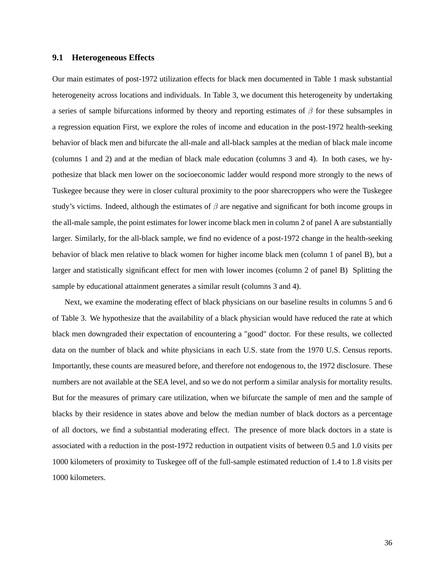## **9.1 Heterogeneous Effects**

Our main estimates of post-1972 utilization effects for black men documented in Table 1 mask substantial heterogeneity across locations and individuals. In Table 3, we document this heterogeneity by undertaking a series of sample bifurcations informed by theory and reporting estimates of  $\beta$  for these subsamples in a regression equation First, we explore the roles of income and education in the post-1972 health-seeking behavior of black men and bifurcate the all-male and all-black samples at the median of black male income (columns 1 and 2) and at the median of black male education (columns 3 and 4). In both cases, we hypothesize that black men lower on the socioeconomic ladder would respond more strongly to the news of Tuskegee because they were in closer cultural proximity to the poor sharecroppers who were the Tuskegee study's victims. Indeed, although the estimates of  $\beta$  are negative and significant for both income groups in the all-male sample, the point estimates for lower income black men in column 2 of panel A are substantially larger. Similarly, for the all-black sample, we find no evidence of a post-1972 change in the health-seeking behavior of black men relative to black women for higher income black men (column 1 of panel B), but a larger and statistically significant effect for men with lower incomes (column 2 of panel B) Splitting the sample by educational attainment generates a similar result (columns 3 and 4).

Next, we examine the moderating effect of black physicians on our baseline results in columns 5 and 6 of Table 3. We hypothesize that the availability of a black physician would have reduced the rate at which black men downgraded their expectation of encountering a "good" doctor. For these results, we collected data on the number of black and white physicians in each U.S. state from the 1970 U.S. Census reports. Importantly, these counts are measured before, and therefore not endogenous to, the 1972 disclosure. These numbers are not available at the SEA level, and so we do not perform a similar analysis for mortality results. But for the measures of primary care utilization, when we bifurcate the sample of men and the sample of blacks by their residence in states above and below the median number of black doctors as a percentage of all doctors, we find a substantial moderating effect. The presence of more black doctors in a state is associated with a reduction in the post-1972 reduction in outpatient visits of between 0.5 and 1.0 visits per 1000 kilometers of proximity to Tuskegee off of the full-sample estimated reduction of 1.4 to 1.8 visits per 1000 kilometers.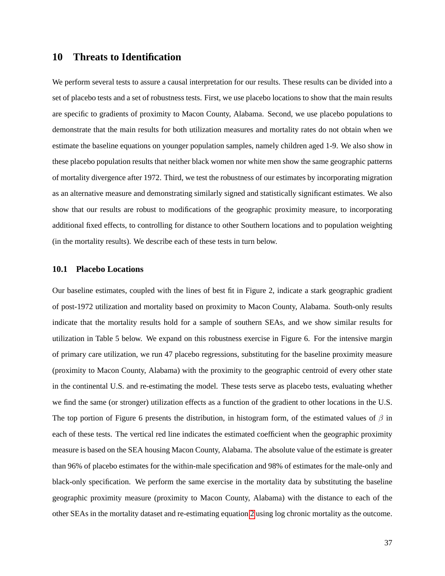# **10 Threats to Identification**

We perform several tests to assure a causal interpretation for our results. These results can be divided into a set of placebo tests and a set of robustness tests. First, we use placebo locations to show that the main results are specific to gradients of proximity to Macon County, Alabama. Second, we use placebo populations to demonstrate that the main results for both utilization measures and mortality rates do not obtain when we estimate the baseline equations on younger population samples, namely children aged 1-9. We also show in these placebo population results that neither black women nor white men show the same geographic patterns of mortality divergence after 1972. Third, we test the robustness of our estimates by incorporating migration as an alternative measure and demonstrating similarly signed and statistically significant estimates. We also show that our results are robust to modifications of the geographic proximity measure*,* to incorporating additional fixed effects, to controlling for distance to other Southern locations and to population weighting (in the mortality results). We describe each of these tests in turn below.

#### **10.1 Placebo Locations**

Our baseline estimates, coupled with the lines of best fit in Figure 2, indicate a stark geographic gradient of post-1972 utilization and mortality based on proximity to Macon County, Alabama. South-only results indicate that the mortality results hold for a sample of southern SEAs, and we show similar results for utilization in Table 5 below. We expand on this robustness exercise in Figure 6. For the intensive margin of primary care utilization, we run 47 placebo regressions, substituting for the baseline proximity measure (proximity to Macon County, Alabama) with the proximity to the geographic centroid of every other state in the continental U.S. and re-estimating the model. These tests serve as placebo tests, evaluating whether we find the same (or stronger) utilization effects as a function of the gradient to other locations in the U.S. The top portion of Figure 6 presents the distribution, in histogram form, of the estimated values of  $\beta$  in each of these tests. The vertical red line indicates the estimated coefficient when the geographic proximity measure is based on the SEA housing Macon County, Alabama. The absolute value of the estimate is greater than 96% of placebo estimates for the within-male specification and 98% of estimates for the male-only and black-only specification. We perform the same exercise in the mortality data by substituting the baseline geographic proximity measure (proximity to Macon County, Alabama) with the distance to each of the other SEAs in the mortality dataset and re-estimating equation [2](#page-23-1) using log chronic mortality as the outcome.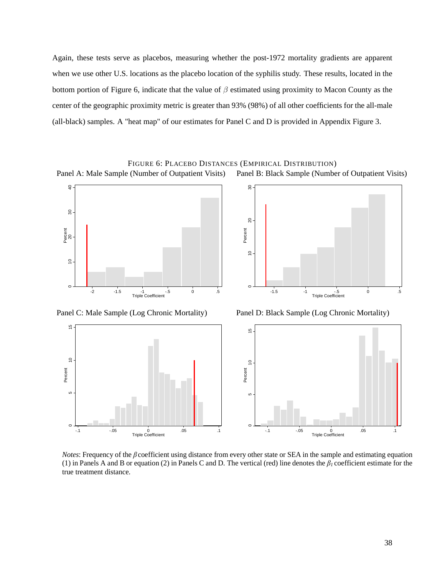Again, these tests serve as placebos, measuring whether the post-1972 mortality gradients are apparent when we use other U.S. locations as the placebo location of the syphilis study. These results, located in the bottom portion of Figure 6, indicate that the value of  $\beta$  estimated using proximity to Macon County as the center of the geographic proximity metric is greater than 93% (98%) of all other coefficients for the all-male (all-black) samples. A "heat map" of our estimates for Panel C and D is provided in Appendix Figure 3.

FIGURE 6: PLACEBO DISTANCES (EMPIRICAL DISTRIBUTION)





*Notes*: Frequency of the β coefficient using distance from every other state or SEA in the sample and estimating equation (1) in Panels A and B or equation (2) in Panels C and D. The vertical (red) line denotes the *β<sup>1</sup>* coefficient estimate for the true treatment distance.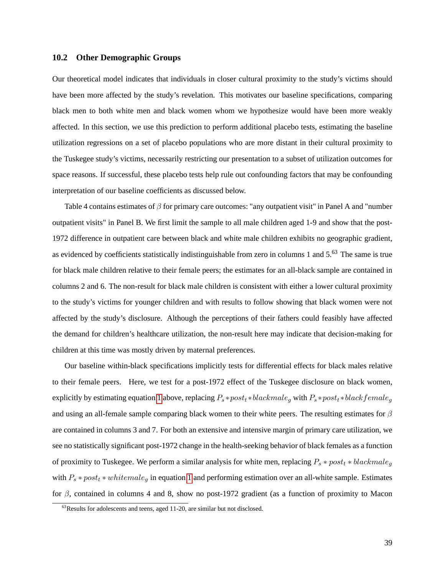#### **10.2 Other Demographic Groups**

Our theoretical model indicates that individuals in closer cultural proximity to the study's victims should have been more affected by the study's revelation. This motivates our baseline specifications, comparing black men to both white men and black women whom we hypothesize would have been more weakly affected. In this section, we use this prediction to perform additional placebo tests, estimating the baseline utilization regressions on a set of placebo populations who are more distant in their cultural proximity to the Tuskegee study's victims, necessarily restricting our presentation to a subset of utilization outcomes for space reasons. If successful, these placebo tests help rule out confounding factors that may be confounding interpretation of our baseline coefficients as discussed below.

Table 4 contains estimates of  $\beta$  for primary care outcomes: "any outpatient visit" in Panel A and "number outpatient visits" in Panel B. We first limit the sample to all male children aged 1-9 and show that the post-1972 difference in outpatient care between black and white male children exhibits no geographic gradient, as evidenced by coefficients statistically indistinguishable from zero in columns 1 and 5.<sup>63</sup> The same is true for black male children relative to their female peers; the estimates for an all-black sample are contained in columns 2 and 6. The non-result for black male children is consistent with either a lower cultural proximity to the study's victims for younger children and with results to follow showing that black women were not affected by the study's disclosure. Although the perceptions of their fathers could feasibly have affected the demand for children's healthcare utilization, the non-result here may indicate that decision-making for children at this time was mostly driven by maternal preferences.

Our baseline within-black specifications implicitly tests for differential effects for black males relative to their female peers. Here, we test for a post-1972 effect of the Tuskegee disclosure on black women, explicitly by estimating equation [1](#page-23-0) above, replacing  $P_s * post_t * blackmale_q$  with  $P_s * post_t * black female_q$ and using an all-female sample comparing black women to their white peers. The resulting estimates for  $\beta$ are contained in columns 3 and 7. For both an extensive and intensive margin of primary care utilization, we see no statistically significant post-1972 change in the health-seeking behavior of black females as a function of proximity to Tuskegee. We perform a similar analysis for white men, replacing  $P_s * post_t * blackmale_g$ with  $P_s * post_t * whitemale_q$  in equation [1](#page-23-0) and performing estimation over an all-white sample. Estimates for  $\beta$ , contained in columns 4 and 8, show no post-1972 gradient (as a function of proximity to Macon

 $63$ Results for adolescents and teens, aged 11-20, are similar but not disclosed.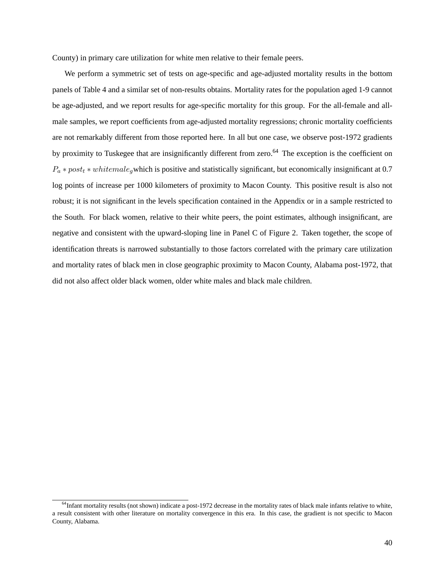County) in primary care utilization for white men relative to their female peers.

We perform a symmetric set of tests on age-specific and age-adjusted mortality results in the bottom panels of Table 4 and a similar set of non-results obtains. Mortality rates for the population aged 1-9 cannot be age-adjusted, and we report results for age-specific mortality for this group. For the all-female and allmale samples, we report coefficients from age-adjusted mortality regressions; chronic mortality coefficients are not remarkably different from those reported here. In all but one case, we observe post-1972 gradients by proximity to Tuskegee that are insignificantly different from zero.<sup>64</sup> The exception is the coefficient on  $P_a * post_t * whitemale_a$  which is positive and statistically significant, but economically insignificant at 0.7 log points of increase per 1000 kilometers of proximity to Macon County. This positive result is also not robust; it is not significant in the levels specification contained in the Appendix or in a sample restricted to the South. For black women, relative to their white peers, the point estimates, although insignificant, are negative and consistent with the upward-sloping line in Panel C of Figure 2. Taken together, the scope of identification threats is narrowed substantially to those factors correlated with the primary care utilization and mortality rates of black men in close geographic proximity to Macon County, Alabama post-1972, that did not also affect older black women, older white males and black male children.

<sup>&</sup>lt;sup>64</sup>Infant mortality results (not shown) indicate a post-1972 decrease in the mortality rates of black male infants relative to white, a result consistent with other literature on mortality convergence in this era. In this case, the gradient is not specific to Macon County, Alabama.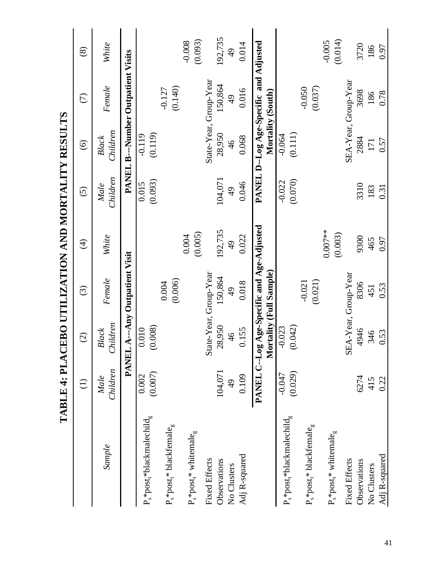|                                      |                     |                         |                                            | IABLE 4: PLACEBO UTILIZATION AND MOKTALITY KESULTS |                   |                                  |                                        |                     |
|--------------------------------------|---------------------|-------------------------|--------------------------------------------|----------------------------------------------------|-------------------|----------------------------------|----------------------------------------|---------------------|
|                                      | $\widehat{\ominus}$ | $\widehat{O}$           | $\odot$                                    | $\widehat{\mathcal{F}}$                            | $\widehat{\odot}$ | $\widehat{\odot}$                | $\widehat{C}$                          | $\circledS$         |
| Sample                               | Children<br>Male    | Children<br>Black       | Female                                     | White                                              | Children<br>Male  | Children<br><b>Black</b>         | Female                                 | White               |
|                                      |                     |                         | PANEL A---Any Outpatient Visit             |                                                    | PANEL             |                                  | <b>B---Number Outpatient Visits</b>    |                     |
| $P_s * post_t * black malechild_g$   | (0.007)<br>0.002    | (0.008)<br>0.010        |                                            |                                                    | (0.093)<br>0.015  | (0.119)<br>$-0.119$              |                                        |                     |
| $P_s * post_t * blackfemale_g$       |                     |                         | (0.006)<br>0.004                           |                                                    |                   |                                  | (0.140)<br>$-0.127$                    |                     |
| $P_s * post_t * \text{whitemale}_g$  |                     |                         |                                            | (0.005)<br>0.004                                   |                   |                                  |                                        | (0.093)<br>$-0.008$ |
| <b>Fixed Effects</b><br>Observations | 104,071             | 28,950                  | State-Year, Group-Year<br>150,864          | 192,735                                            | 104,071           | State-Year, Group-Year<br>28,950 | 150,864                                | 192,735             |
| No Clusters                          | Q<br>4              | $\frac{6}{4}$           | $\frac{1}{4}$                              | $\frac{1}{4}$                                      | $\frac{1}{2}$     | $\frac{4}{6}$                    | $\frac{1}{4}$                          | $\frac{1}{4}$       |
| Adj R-squared                        | 0.109               | 0.155                   | 0.018                                      | 0.022                                              | 0.046             | 0.068                            | 0.016                                  | 0.014               |
|                                      |                     | Mortality (Full Sample) | PANEL C--Log Age-Specific and Age-Adjusted |                                                    |                   | Mortality (South)                | PANEL D--Log Age-Specific and Adjusted |                     |
| $P_s * post_*$ blackmalechild $_g$   | $-0.047$            | $-0.023$                |                                            |                                                    | $-0.022$          | $-0.064$                         |                                        |                     |
|                                      | (0.029)             | (0.042)                 |                                            |                                                    | (0.070)           | (0.111)                          |                                        |                     |
| $P_s * post_t * blackfemale_g$       |                     |                         | (0.021)<br>$-0.021$                        |                                                    |                   |                                  | (0.037)<br>$-0.050$                    |                     |
| $P_s * post_t * whitemale_g$         |                     |                         |                                            | $0.007**$<br>(0.003)                               |                   |                                  |                                        | (0.014)<br>$-0.005$ |
| <b>Fixed Effects</b>                 |                     |                         | SEA-Year, Group-Year                       |                                                    |                   |                                  | SEA-Year, Group-Year                   |                     |
| Observations                         | 6274                | 4946                    | 8306                                       | 9300                                               | 3310              | 2884                             | 3698                                   | 3720                |
| No Clusters                          | 415                 | 346                     | 451                                        | 465                                                | 183               | 171                              | 186                                    | 186                 |
| Adj R-squared                        | 0.22                | 0.53                    | 0.53                                       | 0.97                                               | 0.31              | 0.57                             | 0.78                                   | 0.97                |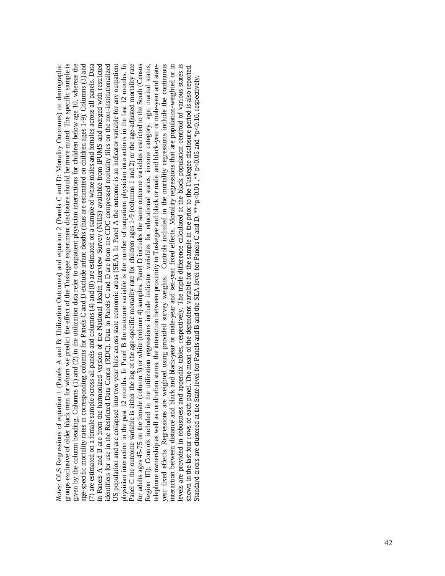Panel C the outcome variable is either the log of the age-specific mortality rate for children ages 1-9 (columns 1 and 2) or the age-adjusted mortality rate for adults ages 45-75 on the female (column 3) or white (column 4) samples. Panel D includes the same outcome variables restricted to the South (Census Region III). Controls included in the utilization regressions include indicator variables for educational status, income category, age, marital status, elephone ownership as well as rural/urban status, the interaction between proximity to Tuskegee and black or male, and black-year or male-year and stateyear fixed effects. Regressions are weighted using provided survey weights. Controls included in the mortality regressions include the continuous interaction between distance and black and black-year or male-year and sea-year fixed effects. Mortality regressions that are population-weighted or in evels are provided in robustness and appendix tables, respectively. The triple difference calculated at the black population centroid of various states is Votes: OLS Regressions of equation 1 (Panels A and B: Utilization Outcomes) and equation 2 (Panels C and D: Mortality Outcomes) on demographic *Notes*: OLS Regressions of equation 1 (Panels A and B: Utilization Outcomes) and equation 2 (Panels C and D: Mortality Outcomes) on demographic groups exclusive of older black men for whom we predict the effect of the Tuskegee experiment disclosure should be more muted. The specific sample is given by the column heading. Columns (1) and (2) in the utilization data refer to outpatient physician interactions for children below age 10, whereas the given by the column heading. Columns (1) and (2) in the utilization data refer to outpatient physician interactions for children below age 10, whereas the age-specific mortality rates in corresponding columns for Panels C and D exclude infant deaths (thus are estimated on children ages 1-9). Columns (3) and age-specific mortality rates in corresponding columns for Panels C and D exclude infant deaths (thus are estimated on children ages 1-9). Columns (3) and 7) are estimated on a female sample across all panels and columns (4) and (8) are estimated on a sample of white males and females across all panels. Data (7) are estimated on a female sample across all panels and columns  $(4)$  and  $(8)$  are estimated on a sample of white males and females across all panels. Data in Panels A and B are from the harmonized version of the National Health Interview Survey (NHIS) available from IPUMS and merged with restricted in Panels A and B are from the harmonized version of the National Health Interview Survey (NHIS) available from IPUMS and merged with restricted dentifiers for use in the Restricted Data Center (RDC). Data in Panels C and D are from the CDC compressed mortality files on the non-institutionalized identifiers for use in the Restricted Data Center (RDC). Data in Panels C and D are from the CDC compressed mortality files on the non-institutionalized JS population and are collapsed into two year bins across state economic areas (SEA). In Panel A the outcome is an indicator variable for any outpatient US population and are collapsed into two year bins across state economic areas (SEA). In Panel A the outcome is an indicator variable for any outpatient physician interaction in the past 12 months. In Panel B the outcome variable is the number of outpatient physician interactions in the last 12 months. In Panel C the outcome variable is either the log of the age-specific mortality rate for children ages 1-9 (columns 1 and 2) or the age-adjusted mortality rate shown in the last four rows of each panel. The mean of the dependent variable for the sample in the prior to the Tuskegee disclosure period is also reported. groups exclusive of older black men for whom we predict the effect of the Tuskegee experiment disclosure should be more muted. The specific sample is physician interaction in the past 12 months. In Panel B the outcome variable is the number of outpatient physician interactions in the last 12 months. In for adults ages 45-75 on the female (column 3) or white (column 4) samples. Panel D includes the same outcome variables restricted to the South (Census Region III). Controls included in the utilization regressions include indicator variables for educational status, income category, age, marital status, telephone ownership as well as rural/urban status, the interaction between proximity to Tuskegee and black or male, and black-year or male-year and stateyear fixed effects. Regressions are weighted using provided survey weights. Controls included in the mortality regressions include the continuous interaction between distance and black and black-year or male-year and sea-year fixed effects. Mortality regressions that are population-weighted or in levels are provided in robustness and appendix tables, respectively. The triple difference calculated at the black population centroid of various states is shown in the last four rows of each panel. The mean of the dependent variable for the sample in the prior to the Tuskegee disclosure period is also reported. Standard errors are clustered at the State level for Panels and B and the SEA level for Panels C and D. \*\*\*p<0.01, \*\* p<0.05 and \*p<0.10, respectively. Standard errors are clustered at the State level for Panels and B and the SEA level for Panels C and D. \*\*\*p<0.01, \*\* p<0.05 and \*p<0.10, respectively.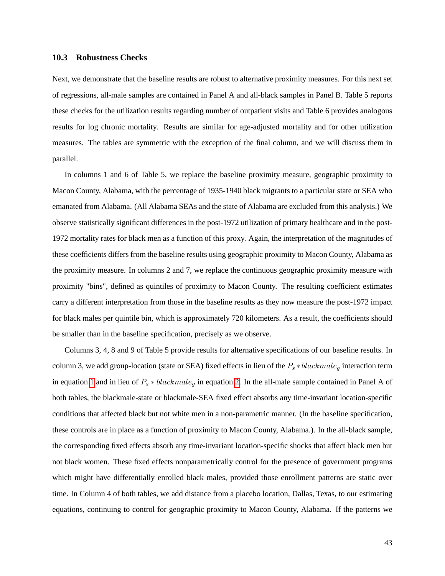#### **10.3 Robustness Checks**

Next, we demonstrate that the baseline results are robust to alternative proximity measures. For this next set of regressions, all-male samples are contained in Panel A and all-black samples in Panel B. Table 5 reports these checks for the utilization results regarding number of outpatient visits and Table 6 provides analogous results for log chronic mortality. Results are similar for age-adjusted mortality and for other utilization measures. The tables are symmetric with the exception of the final column, and we will discuss them in parallel.

In columns 1 and 6 of Table 5, we replace the baseline proximity measure, geographic proximity to Macon County, Alabama, with the percentage of 1935-1940 black migrants to a particular state or SEA who emanated from Alabama. (All Alabama SEAs and the state of Alabama are excluded from this analysis.) We observe statistically significant differences in the post-1972 utilization of primary healthcare and in the post-1972 mortality rates for black men as a function of this proxy. Again, the interpretation of the magnitudes of these coefficients differs from the baseline results using geographic proximity to Macon County, Alabama as the proximity measure. In columns 2 and 7, we replace the continuous geographic proximity measure with proximity "bins", defined as quintiles of proximity to Macon County. The resulting coefficient estimates carry a different interpretation from those in the baseline results as they now measure the post-1972 impact for black males per quintile bin, which is approximately 720 kilometers. As a result, the coefficients should be smaller than in the baseline specification, precisely as we observe.

Columns 3, 4, 8 and 9 of Table 5 provide results for alternative specifications of our baseline results. In column 3, we add group-location (state or SEA) fixed effects in lieu of the  $P_s * blackmale_q$  interaction term in equation [1](#page-23-0) and in lieu of  $P_s * blackmale_q$  in equation [2.](#page-23-1) In the all-male sample contained in Panel A of both tables, the blackmale-state or blackmale-SEA fixed effect absorbs any time-invariant location-specific conditions that affected black but not white men in a non-parametric manner. (In the baseline specification, these controls are in place as a function of proximity to Macon County, Alabama.). In the all-black sample, the corresponding fixed effects absorb any time-invariant location-specific shocks that affect black men but not black women. These fixed effects nonparametrically control for the presence of government programs which might have differentially enrolled black males, provided those enrollment patterns are static over time. In Column 4 of both tables, we add distance from a placebo location, Dallas, Texas, to our estimating equations, continuing to control for geographic proximity to Macon County, Alabama. If the patterns we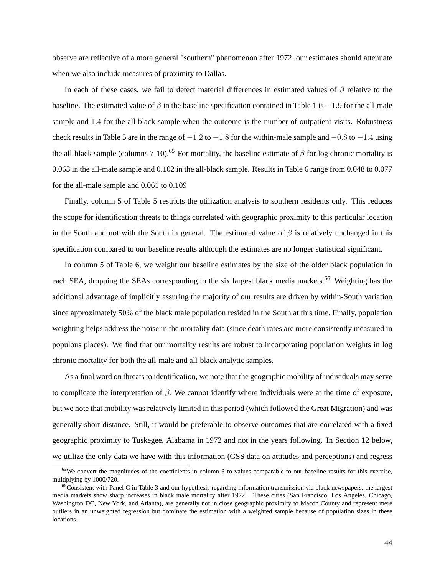observe are reflective of a more general "southern" phenomenon after 1972, our estimates should attenuate when we also include measures of proximity to Dallas.

In each of these cases, we fail to detect material differences in estimated values of  $\beta$  relative to the baseline. The estimated value of  $\beta$  in the baseline specification contained in Table 1 is  $-1.9$  for the all-male sample and 1.4 for the all-black sample when the outcome is the number of outpatient visits. Robustness check results in Table 5 are in the range of  $-1.2$  to  $-1.8$  for the within-male sample and  $-0.8$  to  $-1.4$  using the all-black sample (columns 7-10).<sup>65</sup> For mortality, the baseline estimate of  $\beta$  for log chronic mortality is 0.063 in the all-male sample and 0.102 in the all-black sample. Results in Table 6 range from 0.048 to 0.077 for the all-male sample and 0.061 to 0.109

Finally, column 5 of Table 5 restricts the utilization analysis to southern residents only. This reduces the scope for identification threats to things correlated with geographic proximity to this particular location in the South and not with the South in general. The estimated value of  $\beta$  is relatively unchanged in this specification compared to our baseline results although the estimates are no longer statistical significant.

In column 5 of Table 6, we weight our baseline estimates by the size of the older black population in each SEA, dropping the SEAs corresponding to the six largest black media markets.<sup>66</sup> Weighting has the additional advantage of implicitly assuring the majority of our results are driven by within-South variation since approximately 50% of the black male population resided in the South at this time. Finally, population weighting helps address the noise in the mortality data (since death rates are more consistently measured in populous places). We find that our mortality results are robust to incorporating population weights in log chronic mortality for both the all-male and all-black analytic samples.

As a final word on threats to identification, we note that the geographic mobility of individuals may serve to complicate the interpretation of  $\beta$ . We cannot identify where individuals were at the time of exposure, but we note that mobility was relatively limited in this period (which followed the Great Migration) and was generally short-distance. Still, it would be preferable to observe outcomes that are correlated with a fixed geographic proximity to Tuskegee, Alabama in 1972 and not in the years following. In Section 12 below, we utilize the only data we have with this information (GSS data on attitudes and perceptions) and regress

 $65$ We convert the magnitudes of the coefficients in column 3 to values comparable to our baseline results for this exercise, multiplying by 1000/720.

 $<sup>66</sup>$ Consistent with Panel C in Table 3 and our hypothesis regarding information transmission via black newspapers, the largest</sup> media markets show sharp increases in black male mortality after 1972. These cities (San Francisco, Los Angeles, Chicago, Washington DC, New York, and Atlanta), are generally not in close geographic proximity to Macon County and represent mere outliers in an unweighted regression but dominate the estimation with a weighted sample because of population sizes in these locations.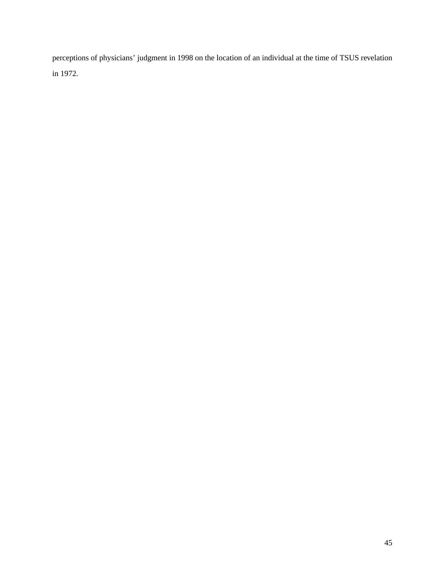perceptions of physicians' judgment in 1998 on the location of an individual at the time of TSUS revelation in 1972.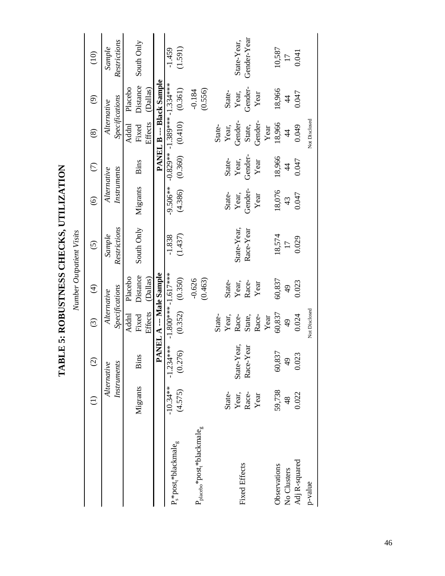|                                                           |               |                |                         |               | Number Outpatient Visits |                   |               |                                |                                 |                 |
|-----------------------------------------------------------|---------------|----------------|-------------------------|---------------|--------------------------|-------------------|---------------|--------------------------------|---------------------------------|-----------------|
|                                                           |               | $\odot$        | $\odot$                 | $\bigoplus$   | $\widehat{\odot}$        | $\widehat{\circ}$ | $\widehat{C}$ | $\circledast$                  | $\widehat{\Theta}$              | $\frac{1}{2}$   |
|                                                           |               | Alternative    | Alternative             |               | Sample                   | Alternative       |               | Alternative                    |                                 | Sample          |
|                                                           |               | Instruments    | Specifications          |               | Restrictions             | Instruments       |               | Specifications                 |                                 | Restrictions    |
|                                                           |               |                | Addnl                   | Placebo       |                          |                   |               | <b>Addnl</b>                   | Placebo                         |                 |
|                                                           | Migrants      | <b>Bins</b>    | Fixed                   | Distance      | South Only               | Migrants          | Bins          | Fixed                          | Distance                        | South Only      |
|                                                           |               |                | Effects                 | (Dallas)      |                          |                   |               | Effects                        | (Dallas)                        |                 |
|                                                           |               |                | PANEL A --- Male Sample |               |                          |                   |               |                                | <b>PANEL B --- Black Sample</b> |                 |
|                                                           | $-10.34**$    | $-1.234***$    | $-1.800***$ $-1.617***$ |               | $-1.838$                 | $-9.506**$        |               | $-0.829** -1.389*** -1.334***$ |                                 | $-1.459$        |
| $P_s * post_t * blackmale_g$                              | (4.575)       | (0.276)        | (0.352)                 | (0.350)       | (1.437)                  | (4.386)           | (0.360)       | (0.410)                        | (0.361)                         | (1.591)         |
|                                                           |               |                |                         | $-0.626$      |                          |                   |               |                                | $-0.184$                        |                 |
| $P_{\text{placebo}} * \text{post}_t * \text{blackmale}_g$ |               |                |                         | (0.463)       |                          |                   |               |                                | (0.556)                         |                 |
|                                                           |               |                | State-                  |               |                          |                   |               | State-                         |                                 |                 |
|                                                           | State-        |                | Year,                   | State-        |                          | State-            | State-        | Year,                          | State-                          |                 |
| <b>Fixed Effects</b>                                      | Year,         | State-Year,    | Race-                   | Year,         | State-Year,              | Year,             | Year,         | Gender-                        | Year,                           | State-Year,     |
|                                                           | Race-         | Race-Year      | State,                  | Race-         | Race-Year                | Gender-           | Gender-       | State,                         | Gender-                         | Gender-Year     |
|                                                           | Year          |                | Race-                   | Year          |                          | Year              | Year          | Gender-                        | Year                            |                 |
|                                                           |               |                | Year                    |               |                          |                   |               | Year                           |                                 |                 |
| Observations                                              | 59,738        | 60,837         | 60,837                  | 60,837        | 18,574                   | 18,076            | 18,966        | 18,966                         | 18,966                          | 10,587          |
| No Clusters                                               | $\frac{8}{4}$ | $\frac{49}{5}$ | $\frac{49}{5}$          | $\frac{1}{6}$ | $\overline{17}$          | 43                | $\frac{4}{3}$ | $\frac{4}{4}$                  | $\overline{4}$                  | $\overline{17}$ |
| Adj R-squared                                             | 0.022         | 0.023          | 0.024                   | 0.023         | 0.029                    | 0.047             | 0.047         | 0.049                          | 0.047                           | 0.041           |
| p-value                                                   |               |                | Not Disclosed           |               |                          |                   |               | Not Disclosed                  |                                 |                 |

TABLE 5: ROBUSTNESS CHECKS, UTILIZATION **TABLE 5: ROBUSTNESS CHECKS, UTILIZATION**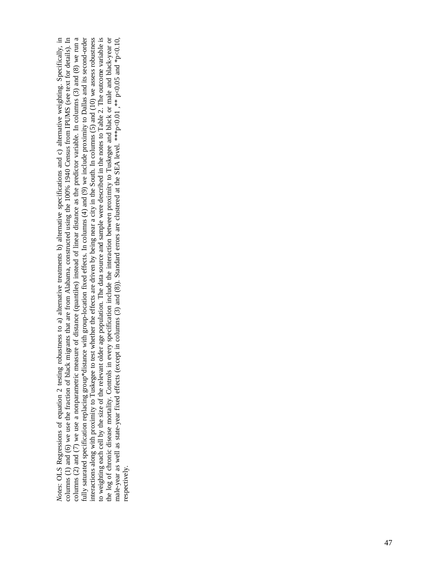Notes: OLS Regressions of equation 2 testing robustness to a) alternative treatments b) alternative specifications and c) alternative weighting. Specifically, in columns (2) and (7) we use a nonparametric measure of distance (quantiles) instead of linear distance as the predictor variable. In columns (3) and (8) we run a fully saturated specification replacing group\*distance with group-location fixed effects. In columns (4) and (9) we include proximity to Dallas and its second-order to weighting each cell by the size of the relevant older age population. The data source and sample were described in the notes to Table 2. The outcome variable is the log of chronic disease mortality. Controls in every specification include the interaction between proximity to Tuskegee and black or male and black-year or male-year as well as state-year fixed effects (except in colu columns (1) and (6) we use the fraction of black migrants that are from Alabama, constructed using the 100% 1940 Census from IPUMS (see text for details). In interactions along with proximity to Tuskegee to test whether the effects are driven by being near a city in the South. In columns (5) and (10) we assess robustness fully saturated specification replacing group\*distance with group-location fixed effects. In columns (4) and (9) we include proximity to Dallas and its second-order the log of chronic disease mortality. Controls in every specification include the interaction between proximity to Tuskegee and black or male and black-year or *Notes*: OLS Regressions of equation 2 testing robustness to a) alternative treatments b) alternative specifications and c) alternative weighting. Specifically, in columns (1) and (6) we use the fraction of black migrants that are from Alabama, constructed using the 100% 1940 Census from IPUMS (see text for details). In columns (2) and (7) we use a nonparametric measure of distance (quantiles) instead of linear distance as the predictor variable. In columns (3) and (8) we run a interactions along with proximity to Tuskegee to test whether the effects are driven by being near a city in the South. In columns (5) and (10) we assess robustness to weighting each cell by the size of the relevant older age population. The data source and sample were described in the notes to Table 2. The outcome variable is male-year as well as state-year fixed effects (except in columns (3) and (8)). Standard errors are clustered at the SEA level. \*\*\*p<0.05 and \*p<0.10, respectively. respectively.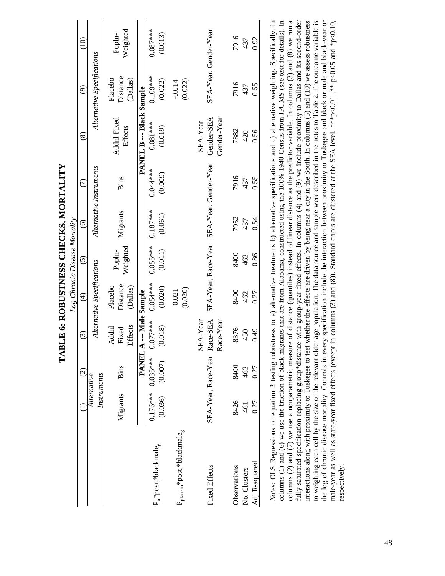|                                                                                                                                                                                                                                                                                                                                                                                                                                                                                                                                                                                                                                                                                                                                                                                                                                                                                                                                                                                                                                                                                                                                                                                                                                                                          |                              |                         | <b>LABLE 6: KOBUS INESS CHECKS, MOKTALITY</b> |                                 |                               |                       |                         |                                                                                                            |                                 |                       |
|--------------------------------------------------------------------------------------------------------------------------------------------------------------------------------------------------------------------------------------------------------------------------------------------------------------------------------------------------------------------------------------------------------------------------------------------------------------------------------------------------------------------------------------------------------------------------------------------------------------------------------------------------------------------------------------------------------------------------------------------------------------------------------------------------------------------------------------------------------------------------------------------------------------------------------------------------------------------------------------------------------------------------------------------------------------------------------------------------------------------------------------------------------------------------------------------------------------------------------------------------------------------------|------------------------------|-------------------------|-----------------------------------------------|---------------------------------|-------------------------------|-----------------------|-------------------------|------------------------------------------------------------------------------------------------------------|---------------------------------|-----------------------|
|                                                                                                                                                                                                                                                                                                                                                                                                                                                                                                                                                                                                                                                                                                                                                                                                                                                                                                                                                                                                                                                                                                                                                                                                                                                                          |                              |                         |                                               |                                 | Log Chronic Disease Mortality |                       |                         |                                                                                                            |                                 |                       |
|                                                                                                                                                                                                                                                                                                                                                                                                                                                                                                                                                                                                                                                                                                                                                                                                                                                                                                                                                                                                                                                                                                                                                                                                                                                                          |                              | $\widehat{\mathcal{O}}$ | $\widehat{c}$                                 | $\widehat{E}$                   | ତି                            | $\widehat{\circ}$     | $\widehat{C}$           | $\circledast$                                                                                              | ව                               | $\frac{1}{2}$         |
|                                                                                                                                                                                                                                                                                                                                                                                                                                                                                                                                                                                                                                                                                                                                                                                                                                                                                                                                                                                                                                                                                                                                                                                                                                                                          | Instruments<br>Alternative   |                         |                                               | Alternative Specifications      |                               |                       | Alternative Instruments |                                                                                                            | Alternative Specifications      |                       |
|                                                                                                                                                                                                                                                                                                                                                                                                                                                                                                                                                                                                                                                                                                                                                                                                                                                                                                                                                                                                                                                                                                                                                                                                                                                                          | Migrants                     | Bins                    | Effects<br>Addnl<br>Fixed                     | Distance<br>Placebo<br>(Dallas) | Weighted<br>Popln-            | Migrants              | Bins                    | <b>Addnl Fixed</b><br>Effects                                                                              | Distance<br>Placebo<br>(Dallas) | Weighted<br>Popln-    |
|                                                                                                                                                                                                                                                                                                                                                                                                                                                                                                                                                                                                                                                                                                                                                                                                                                                                                                                                                                                                                                                                                                                                                                                                                                                                          |                              | PANEL A                 | --- Male Sample                               |                                 |                               |                       |                         | <b>PANEL B--- Black Sample</b>                                                                             |                                 |                       |
| $P_a * post_t * blackmale_g$                                                                                                                                                                                                                                                                                                                                                                                                                                                                                                                                                                                                                                                                                                                                                                                                                                                                                                                                                                                                                                                                                                                                                                                                                                             | $0.176***$<br>(0.036)        | $0.035***$<br>(0.007)   | $0.077***$<br>(0.018)                         | $0.054***$<br>(0.020)           | $0.055***$<br>(0.011)         | $0.187***$<br>(0.061) | $0.044***$<br>(0.009)   | $0.081***$<br>(0.019)                                                                                      | $0.109***$<br>(0.022)           | $0.087***$<br>(0.013) |
| $\rm P_{placebo}^*post^*blackmale_g$                                                                                                                                                                                                                                                                                                                                                                                                                                                                                                                                                                                                                                                                                                                                                                                                                                                                                                                                                                                                                                                                                                                                                                                                                                     |                              |                         |                                               | (0.020)<br>0.021                |                               |                       |                         |                                                                                                            | (0.022)<br>$-0.014$             |                       |
| <b>Fixed Effects</b>                                                                                                                                                                                                                                                                                                                                                                                                                                                                                                                                                                                                                                                                                                                                                                                                                                                                                                                                                                                                                                                                                                                                                                                                                                                     | SEA-Year, Race-Year Race-SEA |                         | Race-Year<br>SEA-Year                         |                                 | SEA-Year, Race-Year           |                       | SEA-Year, Gender-Year   | Gender-Year<br>Gender-SEA<br>SEA-Year                                                                      | SEA-Year, Gender-Year           |                       |
| Adj R-squared<br>Observations<br>No. Clusters                                                                                                                                                                                                                                                                                                                                                                                                                                                                                                                                                                                                                                                                                                                                                                                                                                                                                                                                                                                                                                                                                                                                                                                                                            | 8426<br>0.27<br>461          | 8400<br>0.27<br>462     | 8376<br>0.49<br>450                           | 8400<br>462<br>0.27             | 8400<br>0.86<br>462           | 7952<br>0.54<br>437   | 7916<br>0.55<br>437     | 7882<br>0.56<br>420                                                                                        | 7916<br>0.55<br>437             | 7916<br>0.92<br>437   |
| fully saturated specification replacing group*distance with group-year fixed effects. In columns (4) and (9) we include proximity to Dallas and its second-order<br>interactions along with proximity to Tuskegee to test whether the effects are driven by being near a city in the South. In columns (5) and (10) we assess robustness<br>to weighting each cell by the size of the relevant older age population. The data source and sample were described in the notes to Table 2. The outcome variable is<br>the log of chronic disease mortality. Controls in every specification include the interaction between proximity to Tuskegee and black or male and black-year or<br>Notes: OLS Regressions of equation 2 testing robustness to a) alternative treatments b) alternative specifications and c) alternative weighting. Specifically, in<br>columns (1) and (6) we use the fraction of black migrants that are from Alabama, constructed using the 100% 1940 Census from IPUMS (see text for details). In<br>columns (2) and (7) we use a nonparametric measure of distance (quantiles) instead of linear distance as the predictor variable. In columns (3) and (8) we run a<br>male-year as well as state-year fixed effects (except a<br>respectively. |                              |                         |                                               |                                 |                               |                       |                         | n columns (3) and (8)). Standard errors are clustered at the SEA level. *** p<0.01, ** p<0.05 and *p<0.10, |                                 |                       |

TADIE 4. DODIETNIESS CHECKS MODELITY **TABLE 6: ROBUSTNESS CHECKS, MORTALITY**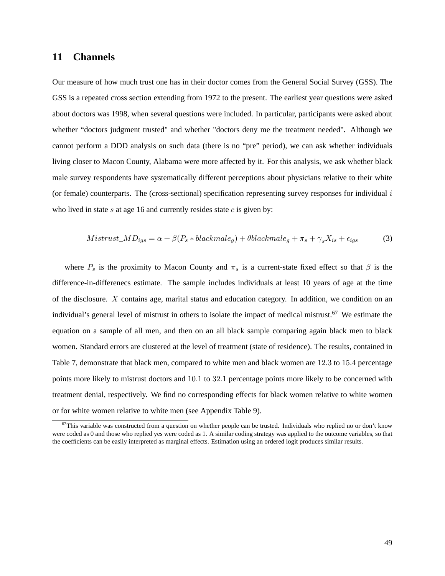# **11 Channels**

Our measure of how much trust one has in their doctor comes from the General Social Survey (GSS). The GSS is a repeated cross section extending from 1972 to the present. The earliest year questions were asked about doctors was 1998, when several questions were included. In particular, participants were asked about whether "doctors judgment trusted" and whether "doctors deny me the treatment needed". Although we cannot perform a DDD analysis on such data (there is no "pre" period), we can ask whether individuals living closer to Macon County, Alabama were more affected by it. For this analysis, we ask whether black male survey respondents have systematically different perceptions about physicians relative to their white (or female) counterparts. The (cross-sectional) specification representing survey responses for individual  $i$ who lived in state s at age 16 and currently resides state  $c$  is given by:

$$
Mistrust\_MD_{igs} = \alpha + \beta (P_s * blackmale_g) + \theta blackmale_g + \pi_s + \gamma_s X_{is} + \epsilon_{igs} \tag{3}
$$

where  $P_s$  is the proximity to Macon County and  $\pi_s$  is a current-state fixed effect so that  $\beta$  is the difference-in-differenecs estimate. The sample includes individuals at least 10 years of age at the time of the disclosure. X contains age, marital status and education category. In addition, we condition on an individual's general level of mistrust in others to isolate the impact of medical mistrust.<sup>67</sup> We estimate the equation on a sample of all men, and then on an all black sample comparing again black men to black women. Standard errors are clustered at the level of treatment (state of residence). The results, contained in Table 7, demonstrate that black men, compared to white men and black women are 12:3 to 15:4 percentage points more likely to mistrust doctors and 10:1 to 32:1 percentage points more likely to be concerned with treatment denial, respectively. We find no corresponding effects for black women relative to white women or for white women relative to white men (see Appendix Table 9).

 $67$ This variable was constructed from a question on whether people can be trusted. Individuals who replied no or don't know were coded as 0 and those who replied yes were coded as 1. A similar coding strategy was applied to the outcome variables, so that the coefficients can be easily interpreted as marginal effects. Estimation using an ordered logit produces similar results.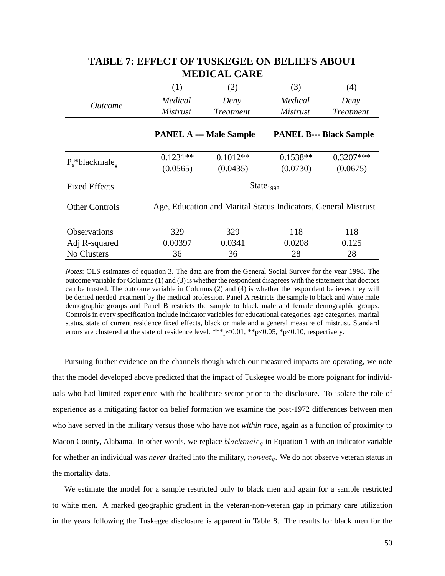|                                |                 | NIEDIUAL UANE                                                  |                       |                                |
|--------------------------------|-----------------|----------------------------------------------------------------|-----------------------|--------------------------------|
|                                | (1)             | (2)                                                            | (3)                   | (4)                            |
| <i><u>Outcome</u></i>          | Medical         | Deny                                                           | Medical               | Deny                           |
|                                | <i>Mistrust</i> | <i>Treatment</i>                                               | <i>Mistrust</i>       | <b>Treatment</b>               |
|                                |                 | <b>PANEL A --- Male Sample</b>                                 |                       | <b>PANEL B--- Black Sample</b> |
| $P_s^*$ blackmale <sub>9</sub> | $0.1231**$      | $0.1012**$                                                     | $0.1538**$            | $0.3207***$                    |
|                                | (0.0565)        | (0.0435)                                                       | (0.0730)              | (0.0675)                       |
| <b>Fixed Effects</b>           |                 |                                                                | State <sub>1998</sub> |                                |
| <b>Other Controls</b>          |                 | Age, Education and Marital Status Indicators, General Mistrust |                       |                                |
| <b>Observations</b>            | 329             | 329                                                            | 118                   | 118                            |
| Adj R-squared                  | 0.00397         | 0.0341                                                         | 0.0208                | 0.125                          |
| No Clusters                    | 36              | 36                                                             | 28                    | 28                             |

# **TABLE 7: EFFECT OF TUSKEGEE ON BELIEFS ABOUT MEDICAL CARE**

*Notes*: OLS estimates of equation 3. The data are from the General Social Survey for the year 1998. The outcome variable for Columns (1) and (3) is whether the respondent disagrees with the statement that doctors can be trusted. The outcome variable in Columns (2) and (4) is whether the respondent believes they will be denied needed treatment by the medical profession. Panel A restricts the sample to black and white male demographic groups and Panel B restricts the sample to black male and female demographic groups. Controls in every specification include indicator variables for educational categories, age categories, marital status, state of current residence fixed effects, black or male and a general measure of mistrust. Standard errors are clustered at the state of residence level. \*\*\*  $p<0.01$ , \*\* $p<0.05$ , \* $p<0.10$ , respectively.

Pursuing further evidence on the channels though which our measured impacts are operating, we note that the model developed above predicted that the impact of Tuskegee would be more poignant for individuals who had limited experience with the healthcare sector prior to the disclosure. To isolate the role of experience as a mitigating factor on belief formation we examine the post-1972 differences between men who have served in the military versus those who have not *within race,* again as a function of proximity to Macon County, Alabama. In other words, we replace  $blackmale<sub>g</sub>$  in Equation 1 with an indicator variable for whether an individual was *never* drafted into the military, *nonvet<sub>a</sub>*. We do not observe veteran status in the mortality data.

We estimate the model for a sample restricted only to black men and again for a sample restricted to white men. A marked geographic gradient in the veteran-non-veteran gap in primary care utilization in the years following the Tuskegee disclosure is apparent in Table 8. The results for black men for the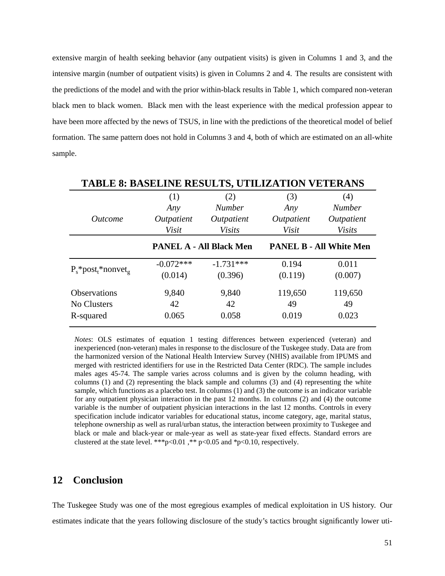extensive margin of health seeking behavior (any outpatient visits) is given in Columns 1 and 3, and the intensive margin (number of outpatient visits) is given in Columns 2 and 4. The results are consistent with the predictions of the model and with the prior within-black results in Table 1, which compared non-veteran black men to black women. Black men with the least experience with the medical profession appear to have been more affected by the news of TSUS, in line with the predictions of the theoretical model of belief formation. The same pattern does not hold in Columns 3 and 4, both of which are estimated on an all-white sample.

| <b>TABLE 8: BASELINE RESULTS, UTILIZATION VETERANS</b> |             |                                |            |                                |
|--------------------------------------------------------|-------------|--------------------------------|------------|--------------------------------|
|                                                        | (1)         | (2)                            | (3)        | (4)                            |
|                                                        | Any         | <b>Number</b>                  | Any        | <b>Number</b>                  |
| <i>Outcome</i>                                         | Outpatient  | Outpatient                     | Outpatient | Outpatient                     |
|                                                        | Visit       | <b>Visits</b>                  | Visit      | <b>Visits</b>                  |
|                                                        |             | <b>PANEL A - All Black Men</b> |            | <b>PANEL B - All White Men</b> |
|                                                        | $-0.072***$ | $-1.731***$                    | 0.194      | 0.011                          |
| $P_s$ *post <sub>t</sub> *nonvet <sub>g</sub>          | (0.014)     | (0.396)                        | (0.119)    | (0.007)                        |
| Observations                                           | 9,840       | 9,840                          | 119,650    | 119,650                        |
| No Clusters                                            | 42          | 42                             | 49         | 49                             |
| R-squared                                              | 0.065       | 0.058                          | 0.019      | 0.023                          |

*Notes*: OLS estimates of equation 1 testing differences between experienced (veteran) and inexperienced (non-veteran) males in response to the disclosure of the Tuskegee study. Data are from the harmonized version of the National Health Interview Survey (NHIS) available from IPUMS and merged with restricted identifiers for use in the Restricted Data Center (RDC). The sample includes males ages 45-74. The sample varies across columns and is given by the column heading, with columns (1) and (2) representing the black sample and columns (3) and (4) representing the white sample, which functions as a placebo test. In columns (1) and (3) the outcome is an indicator variable for any outpatient physician interaction in the past 12 months. In columns (2) and (4) the outcome variable is the number of outpatient physician interactions in the last 12 months. Controls in every specification include indicator variables for educational status, income category, age, marital status, telephone ownership as well as rural/urban status, the interaction between proximity to Tuskegee and black or male and black-year or male-year as well as state-year fixed effects. Standard errors are clustered at the state level. \*\*\*p<0.01 ,\*\* p<0.05 and \*p<0.10, respectively.

# **12 Conclusion**

The Tuskegee Study was one of the most egregious examples of medical exploitation in US history. Our estimates indicate that the years following disclosure of the study's tactics brought significantly lower uti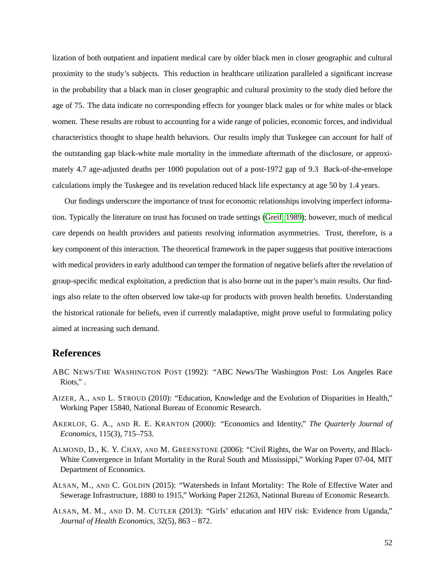lization of both outpatient and inpatient medical care by older black men in closer geographic and cultural proximity to the study's subjects. This reduction in healthcare utilization paralleled a significant increase in the probability that a black man in closer geographic and cultural proximity to the study died before the age of 75. The data indicate no corresponding effects for younger black males or for white males or black women. These results are robust to accounting for a wide range of policies, economic forces, and individual characteristics thought to shape health behaviors. Our results imply that Tuskegee can account for half of the outstanding gap black-white male mortality in the immediate aftermath of the disclosure, or approximately 4.7 age-adjusted deaths per 1000 population out of a post-1972 gap of 9.3 Back-of-the-envelope calculations imply the Tuskegee and its revelation reduced black life expectancy at age 50 by 1.4 years.

Our findings underscore the importance of trust for economic relationships involving imperfect information. Typically the literature on trust has focused on trade settings [\(Greif, 1989\)](#page-54-16); however, much of medical care depends on health providers and patients resolving information asymmetries. Trust, therefore, is a key component of this interaction. The theoretical framework in the paper suggests that positive interactions with medical providers in early adulthood can temper the formation of negative beliefs after the revelation of group-specific medical exploitation, a prediction that is also borne out in the paper's main results. Our findings also relate to the often observed low take-up for products with proven health benefits. Understanding the historical rationale for beliefs, even if currently maladaptive, might prove useful to formulating policy aimed at increasing such demand.

## **References**

- <span id="page-51-5"></span>ABC NEWS/THE WASHINGTON POST (1992): "ABC News/The Washington Post: Los Angeles Race Riots," .
- <span id="page-51-0"></span>AIZER, A., AND L. STROUD (2010): "Education, Knowledge and the Evolution of Disparities in Health," Working Paper 15840, National Bureau of Economic Research.
- <span id="page-51-4"></span>AKERLOF, G. A., AND R. E. KRANTON (2000): "Economics and Identity," *The Quarterly Journal of Economics*, 115(3), 715–753.
- <span id="page-51-2"></span>ALMOND, D., K. Y. CHAY, AND M. GREENSTONE (2006): "Civil Rights, the War on Poverty, and Black-White Convergence in Infant Mortality in the Rural South and Mississippi," Working Paper 07-04, MIT Department of Economics.
- <span id="page-51-3"></span>ALSAN, M., AND C. GOLDIN (2015): "Watersheds in Infant Mortality: The Role of Effective Water and Sewerage Infrastructure, 1880 to 1915," Working Paper 21263, National Bureau of Economic Research.
- <span id="page-51-1"></span>ALSAN, M. M., AND D. M. CUTLER (2013): "Girls' education and HIV risk: Evidence from Uganda," *Journal of Health Economics*, 32(5), 863 – 872.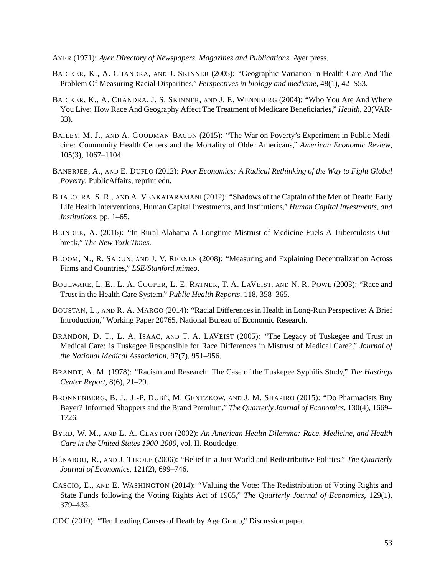<span id="page-52-16"></span>AYER (1971): *Ayer Directory of Newspapers, Magazines and Publications*. Ayer press.

- <span id="page-52-8"></span>BAICKER, K., A. CHANDRA, AND J. SKINNER (2005): "Geographic Variation In Health Care And The Problem Of Measuring Racial Disparities," *Perspectives in biology and medicine*, 48(1), 42–S53.
- <span id="page-52-7"></span>BAICKER, K., A. CHANDRA, J. S. SKINNER, AND J. E. WENNBERG (2004): "Who You Are And Where You Live: How Race And Geography Affect The Treatment of Medicare Beneficiaries," *Health*, 23(VAR-33).
- <span id="page-52-12"></span>BAILEY, M. J., AND A. GOODMAN-BACON (2015): "The War on Poverty's Experiment in Public Medicine: Community Health Centers and the Mortality of Older Americans," *American Economic Review*, 105(3), 1067–1104.
- <span id="page-52-10"></span>BANERJEE, A., AND E. DUFLO (2012): *Poor Economics: A Radical Rethinking of the Way to Fight Global Poverty*. PublicAffairs, reprint edn.
- <span id="page-52-11"></span>BHALOTRA, S. R., AND A. VENKATARAMANI (2012): "Shadows of the Captain of the Men of Death: Early Life Health Interventions, Human Capital Investments, and Institutions," *Human Capital Investments, and Institutions*, pp. 1–65.
- <span id="page-52-1"></span>BLINDER, A. (2016): "In Rural Alabama A Longtime Mistrust of Medicine Fuels A Tuberculosis Outbreak," *The New York Times*.
- <span id="page-52-9"></span>BLOOM, N., R. SADUN, AND J. V. REENEN (2008): "Measuring and Explaining Decentralization Across Firms and Countries," *LSE/Stanford mimeo*.
- <span id="page-52-2"></span>BOULWARE, L. E., L. A. COOPER, L. E. RATNER, T. A. LAVEIST, AND N. R. POWE (2003): "Race and Trust in the Health Care System," *Public Health Reports*, 118, 358–365.
- <span id="page-52-6"></span>BOUSTAN, L., AND R. A. MARGO (2014): "Racial Differences in Health in Long-Run Perspective: A Brief Introduction," Working Paper 20765, National Bureau of Economic Research.
- <span id="page-52-3"></span>BRANDON, D. T., L. A. ISAAC, AND T. A. LAVEIST (2005): "The Legacy of Tuskegee and Trust in Medical Care: is Tuskegee Responsible for Race Differences in Mistrust of Medical Care?," *Journal of the National Medical Association*, 97(7), 951–956.
- <span id="page-52-0"></span>BRANDT, A. M. (1978): "Racism and Research: The Case of the Tuskegee Syphilis Study," *The Hastings Center Report*, 8(6), 21–29.
- <span id="page-52-14"></span>BRONNENBERG, B. J., J.-P. DUBÉ, M. GENTZKOW, AND J. M. SHAPIRO (2015): "Do Pharmacists Buy Bayer? Informed Shoppers and the Brand Premium," *The Quarterly Journal of Economics*, 130(4), 1669– 1726.
- <span id="page-52-13"></span>BYRD, W. M., AND L. A. CLAYTON (2002): *An American Health Dilemma: Race, Medicine, and Health Care in the United States 1900-2000*, vol. II. Routledge.
- <span id="page-52-15"></span>BÉNABOU, R., AND J. TIROLE (2006): "Belief in a Just World and Redistributive Politics," *The Quarterly Journal of Economics*, 121(2), 699–746.
- <span id="page-52-5"></span>CASCIO, E., AND E. WASHINGTON (2014): "Valuing the Vote: The Redistribution of Voting Rights and State Funds following the Voting Rights Act of 1965," *The Quarterly Journal of Economics*, 129(1), 379–433.
- <span id="page-52-4"></span>CDC (2010): "Ten Leading Causes of Death by Age Group," Discussion paper.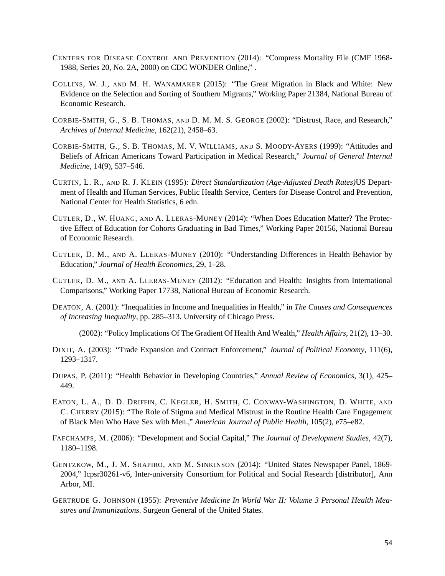- <span id="page-53-0"></span>CENTERS FOR DISEASE CONTROL AND PREVENTION (2014): "Compress Mortality File (CMF 1968- 1988, Series 20, No. 2A, 2000) on CDC WONDER Online," .
- <span id="page-53-14"></span>COLLINS, W. J., AND M. H. WANAMAKER (2015): "The Great Migration in Black and White: New Evidence on the Selection and Sorting of Southern Migrants," Working Paper 21384, National Bureau of Economic Research.
- <span id="page-53-2"></span>CORBIE-SMITH, G., S. B. THOMAS, AND D. M. M. S. GEORGE (2002): "Distrust, Race, and Research," *Archives of Internal Medicine*, 162(21), 2458–63.
- <span id="page-53-1"></span>CORBIE-SMITH, G., S. B. THOMAS, M. V. WILLIAMS, AND S. MOODY-AYERS (1999): "Attitudes and Beliefs of African Americans Toward Participation in Medical Research," *Journal of General Internal Medicine*, 14(9), 537–546.
- <span id="page-53-12"></span>CURTIN, L. R., AND R. J. KLEIN (1995): *Direct Standardization (Age-Adjusted Death Rates)*US Department of Health and Human Services, Public Health Service, Centers for Disease Control and Prevention, National Center for Health Statistics, 6 edn.
- <span id="page-53-6"></span>CUTLER, D., W. HUANG, AND A. LLERAS-MUNEY (2014): "When Does Education Matter? The Protective Effect of Education for Cohorts Graduating in Bad Times," Working Paper 20156, National Bureau of Economic Research.
- <span id="page-53-4"></span>CUTLER, D. M., AND A. LLERAS-MUNEY (2010): "Understanding Differences in Health Behavior by Education," *Journal of Health Economics*, 29, 1–28.
- <span id="page-53-5"></span>CUTLER, D. M., AND A. LLERAS-MUNEY (2012): "Education and Health: Insights from International Comparisons," Working Paper 17738, National Bureau of Economic Research.
- <span id="page-53-7"></span>DEATON, A. (2001): "Inequalities in Income and Inequalities in Health," in *The Causes and Consequences of Increasing Inequality*, pp. 285–313. University of Chicago Press.
- <span id="page-53-8"></span>(2002): "Policy Implications Of The Gradient Of Health And Wealth," *Health Affairs*, 21(2), 13–30.
- <span id="page-53-13"></span>DIXIT, A. (2003): "Trade Expansion and Contract Enforcement," *Journal of Political Economy*, 111(6), 1293–1317.
- <span id="page-53-11"></span>DUPAS, P. (2011): "Health Behavior in Developing Countries," *Annual Review of Economics*, 3(1), 425– 449.
- <span id="page-53-3"></span>EATON, L. A., D. D. DRIFFIN, C. KEGLER, H. SMITH, C. CONWAY-WASHINGTON, D. WHITE, AND C. CHERRY (2015): "The Role of Stigma and Medical Mistrust in the Routine Health Care Engagement of Black Men Who Have Sex with Men.," *American Journal of Public Health*, 105(2), e75–e82.
- <span id="page-53-10"></span>FAFCHAMPS, M. (2006): "Development and Social Capital," *The Journal of Development Studies*, 42(7), 1180–1198.
- <span id="page-53-15"></span>GENTZKOW, M., J. M. SHAPIRO, AND M. SINKINSON (2014): "United States Newspaper Panel, 1869- 2004," Icpsr30261-v6, Inter-university Consortium for Political and Social Research [distributor], Ann Arbor, MI.
- <span id="page-53-9"></span>GERTRUDE G. JOHNSON (1955): *Preventive Medicine In World War II: Volume 3 Personal Health Measures and Immunizations*. Surgeon General of the United States.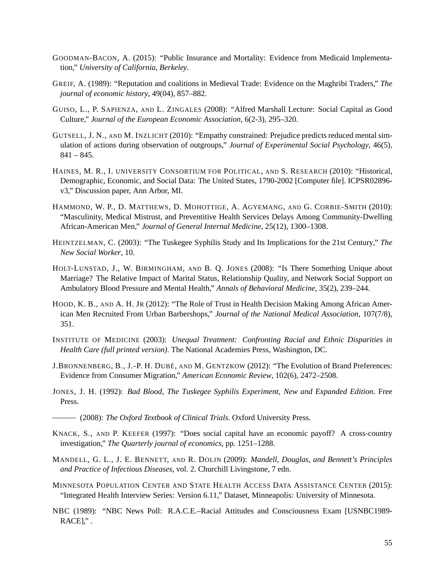- <span id="page-54-6"></span>GOODMAN-BACON, A. (2015): "Public Insurance and Mortality: Evidence from Medicaid Implementation," *University of California, Berkeley*.
- <span id="page-54-16"></span>GREIF, A. (1989): "Reputation and coalitions in Medieval Trade: Evidence on the Maghribi Traders," *The journal of economic history*, 49(04), 857–882.
- <span id="page-54-7"></span>GUISO, L., P. SAPIENZA, AND L. ZINGALES (2008): "Alfred Marshall Lecture: Social Capital as Good Culture," *Journal of the European Economic Association*, 6(2-3), 295–320.
- <span id="page-54-3"></span>GUTSELL, J. N., AND M. INZLICHT (2010): "Empathy constrained: Prejudice predicts reduced mental simulation of actions during observation of outgroups," *Journal of Experimental Social Psychology*, 46(5),  $841 - 845.$
- <span id="page-54-15"></span>HAINES, M. R., I. UNIVERSITY CONSORTIUM FOR POLITICAL, AND S. RESEARCH (2010): "Historical, Demographic, Economic, and Social Data: The United States, 1790-2002 [Computer file]. ICPSR02896 v3," Discussion paper, Ann Arbor, MI.
- <span id="page-54-12"></span>HAMMOND, W. P., D. MATTHEWS, D. MOHOTTIGE, A. AGYEMANG, AND G. CORBIE-SMITH (2010): "Masculinity, Medical Mistrust, and Preventitive Health Services Delays Among Community-Dwelling African-American Men," *Journal of General Internal Medicine*, 25(12), 1300–1308.
- <span id="page-54-11"></span>HEINTZELMAN, C. (2003): "The Tuskegee Syphilis Study and Its Implications for the 21st Century," *The New Social Worker*, 10.
- <span id="page-54-4"></span>HOLT-LUNSTAD, J., W. BIRMINGHAM, AND B. Q. JONES (2008): "Is There Something Unique about Marriage? The Relative Impact of Marital Status, Relationship Quality, and Network Social Support on Ambulatory Blood Pressure and Mental Health," *Annals of Behavioral Medicine*, 35(2), 239–244.
- <span id="page-54-2"></span>HOOD, K. B., AND A. H. JR (2012): "The Role of Trust in Health Decision Making Among African American Men Recruited From Urban Barbershops," *Journal of the National Medical Association*, 107(7/8), 351.
- <span id="page-54-0"></span>INSTITUTE OF MEDICINE (2003): *Unequal Treatment: Confronting Racial and Ethnic Disparities in Health Care (full printed version)*. The National Academies Press, Washington, DC.
- <span id="page-54-13"></span>J.BRONNENBERG, B., J.-P. H. DUBÉ, AND M. GENTZKOW (2012): "The Evolution of Brand Preferences: Evidence from Consumer Migration," *American Economic Review*, 102(6), 2472–2508.
- <span id="page-54-10"></span>JONES, J. H. (1992): *Bad Blood, The Tuskegee Syphilis Experiment, New and Expanded Edition*. Free Press.
- <span id="page-54-5"></span>(2008): *The Oxford Textbook of Clinical Trials*. Oxford University Press.
- <span id="page-54-8"></span>KNACK, S., AND P. KEEFER (1997): "Does social capital have an economic payoff? A cross-country investigation," *The Quarterly journal of economics*, pp. 1251–1288.
- <span id="page-54-9"></span>MANDELL, G. L., J. E. BENNETT, AND R. DOLIN (2009): *Mandell, Douglas, and Bennett's Principles and Practice of Infectious Diseases*, vol. 2. Churchill Livingstone, 7 edn.
- <span id="page-54-1"></span>MINNESOTA POPULATION CENTER AND STATE HEALTH ACCESS DATA ASSISTANCE CENTER (2015): "Integrated Health Interview Series: Version 6.11," Dataset, Minneapolis: University of Minnesota.
- <span id="page-54-14"></span>NBC (1989): "NBC News Poll: R.A.C.E.–Racial Attitudes and Consciousness Exam [USNBC1989- RACE]," .